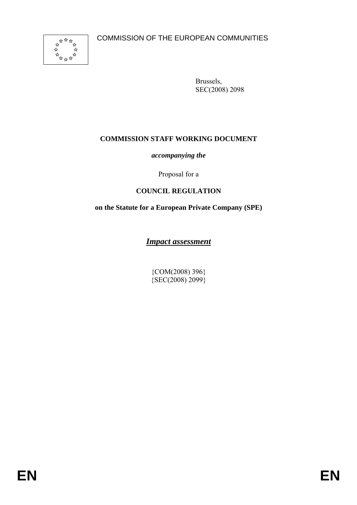COMMISSION OF THE EUROPEAN COMMUNITIES



Brussels, SEC(2008) 2098

# **COMMISSION STAFF WORKING DOCUMENT**

*accompanying the* 

Proposal for a

# **COUNCIL REGULATION**

## **on the Statute for a European Private Company (SPE)**

*Impact assessment*

{COM(2008) 396}  ${SEC(2008) 2099}$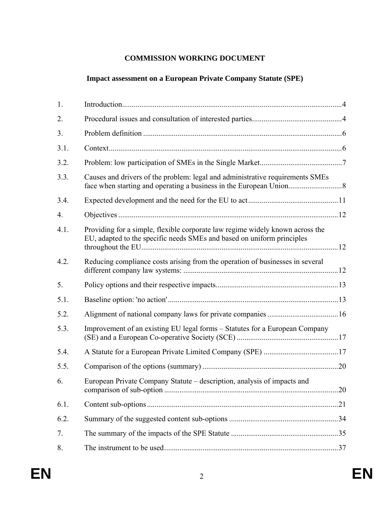## **COMMISSION WORKING DOCUMENT**

# **Impact assessment on a European Private Company Statute (SPE)**

| 1.   |                                                                                                                                                         |  |
|------|---------------------------------------------------------------------------------------------------------------------------------------------------------|--|
| 2.   |                                                                                                                                                         |  |
| 3.   |                                                                                                                                                         |  |
| 3.1. |                                                                                                                                                         |  |
| 3.2. |                                                                                                                                                         |  |
| 3.3. | Causes and drivers of the problem: legal and administrative requirements SMEs                                                                           |  |
| 3.4. |                                                                                                                                                         |  |
| 4.   |                                                                                                                                                         |  |
| 4.1. | Providing for a simple, flexible corporate law regime widely known across the<br>EU, adapted to the specific needs SMEs and based on uniform principles |  |
| 4.2. | Reducing compliance costs arising from the operation of businesses in several                                                                           |  |
| 5.   |                                                                                                                                                         |  |
| 5.1. |                                                                                                                                                         |  |
| 5.2. |                                                                                                                                                         |  |
| 5.3. | Improvement of an existing EU legal forms – Statutes for a European Company                                                                             |  |
| 5.4. |                                                                                                                                                         |  |
| 5.5. |                                                                                                                                                         |  |
| 6.   | European Private Company Statute - description, analysis of impacts and                                                                                 |  |
| 6.1. |                                                                                                                                                         |  |
| 6.2. |                                                                                                                                                         |  |
| 7.   |                                                                                                                                                         |  |
| 8.   |                                                                                                                                                         |  |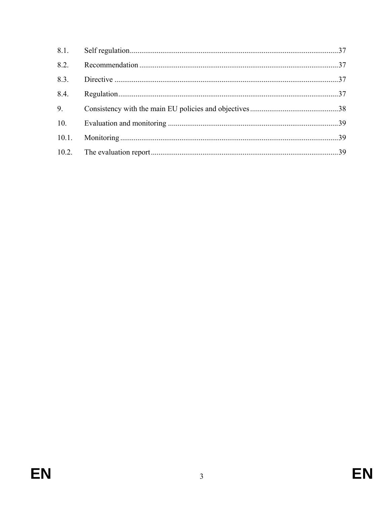| 8.1. |  |
|------|--|
| 8.2. |  |
| 8.3. |  |
| 8.4. |  |
| 9.   |  |
| 10.  |  |
|      |  |
|      |  |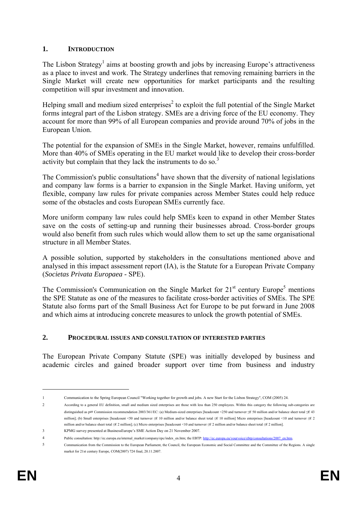## <span id="page-3-0"></span>**1. INTRODUCTION**

The Lisbon Strategy<sup>1</sup> aims at boosting growth and jobs by increasing Europe's attractiveness as a place to invest and work. The Strategy underlines that removing remaining barriers in the Single Market will create new opportunities for market participants and the resulting competition will spur investment and innovation.

Helping small and medium sized enterprises<sup>2</sup> to exploit the full potential of the Single Market forms integral part of the Lisbon strategy. SMEs are a driving force of the EU economy. They account for more than 99% of all European companies and provide around 70% of jobs in the European Union.

The potential for the expansion of SMEs in the Single Market, however, remains unfulfilled. More than 40% of SMEs operating in the EU market would like to develop their cross-border activity but complain that they lack the instruments to do so.<sup>3</sup>

The Commission's public consultations<sup>4</sup> have shown that the diversity of national legislations and company law forms is a barrier to expansion in the Single Market. Having uniform, yet flexible, company law rules for private companies across Member States could help reduce some of the obstacles and costs European SMEs currently face.

More uniform company law rules could help SMEs keen to expand in other Member States save on the costs of setting-up and running their businesses abroad. Cross-border groups would also benefit from such rules which would allow them to set up the same organisational structure in all Member States.

A possible solution, supported by stakeholders in the consultations mentioned above and analysed in this impact assessment report (IA), is the Statute for a European Private Company (*Societas Privata Europaea* - SPE).

<span id="page-3-1"></span>The Commission's Communication on the Single Market for  $21<sup>st</sup>$  century Europe<sup>5</sup> mentions the SPE Statute as one of the measures to facilitate cross-border activities of SMEs. The SPE Statute also forms part of the Small Business Act for Europe to be put forward in June 2008 and which aims at introducing concrete measures to unlock the growth potential of SMEs.

## **2. PROCEDURAL ISSUES AND CONSULTATION OF INTERESTED PARTIES**

The European Private Company Statute (SPE) was initially developed by business and academic circles and gained broader support over time from business and industry

<sup>1</sup> Communication to the Spring European Council "Working together for growth and jobs. A new Start for the Lisbon Strategy", COM (2005) 24.

<sup>2</sup> According to a general EU definition, small and medium sized enterprises are those with less than 250 employees. Within this category the following sub-categories are distinguished as per Commission recommendation 2003/361/EC: (a) Medium-sized enterprises [headcount <250 and turnover ≤€ 50 million and/or balance sheet total ≤€ 43 million]; (b) Small enterprises [headcount <50 and turnover ≤€ 10 million and/or balance sheet total ≤€ 10 million] Micro enterprises [headcount <10 and turnover ≤€ 2 million and/or balance sheet total ≤€ 2 million]; (c) Micro enterprises [headcount <10 and turnover ≤€ 2 million and/or balance sheet total ≤€ 2 million]. 3 KPMG survey presented at BusinessEurope's SME Action Day on 21 November 2007.

<sup>4</sup> Public consultation: http://ec.europa.eu/internal\_market/company/epc/index\_en.htm; the EBTP[: http://ec.europa.eu/yourvoice/ebtp/consultations/2007\\_en.htm.](http://ec.europa.eu/yourvoice/ebtp/consultations/2007_en.htm) 

<sup>5</sup> Communication from the Commission to the European Parliament, the Council, the European Economic and Social Committee and the Committee of the Regions. A single market for 21st century Europe, COM(2007) 724 final, 20.11.2007.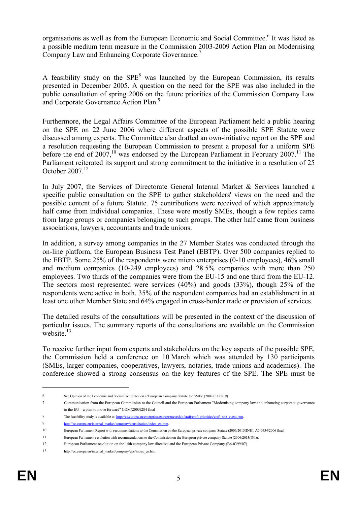organisations as well as from the European Economic and Social Committee.<sup>6</sup> It was listed as a possible medium term measure in the Commission 2003-2009 Action Plan on Modernising Company Law and Enhancing Corporate Governance.7

A feasibility study on the  $SPE<sup>8</sup>$  was launched by the European Commission, its results presented in December 2005. A question on the need for the SPE was also included in the public consultation of spring 2006 on the future priorities of the Commission Company Law and Corporate Governance Action Plan.<sup>9</sup>

Furthermore, the Legal Affairs Committee of the European Parliament held a public hearing on the SPE on 22 June 2006 where different aspects of the possible SPE Statute were discussed among experts. The Committee also drafted an own-initiative report on the SPE and a resolution requesting the European Commission to present a proposal for a uniform SPE before the end of  $2007$ ,<sup>10</sup> was endorsed by the European Parliament in February 2007.<sup>11</sup> The Parliament reiterated its support and strong commitment to the initiative in a resolution of 25 October 2007.12

In July 2007, the Services of Directorate General Internal Market & Services launched a specific public consultation on the SPE to gather stakeholders' views on the need and the possible content of a future Statute. 75 contributions were received of which approximately half came from individual companies. These were mostly SMEs, though a few replies came from large groups or companies belonging to such groups. The other half came from business associations, lawyers, accountants and trade unions.

In addition, a survey among companies in the 27 Member States was conducted through the on-line platform, the European Business Test Panel (EBTP). Over 500 companies replied to the EBTP. Some 25% of the respondents were micro enterprises (0-10 employees), 46% small and medium companies (10-249 employees) and 28.5% companies with more than 250 employees. Two thirds of the companies were from the EU-15 and one third from the EU-12. The sectors most represented were services (40%) and goods (33%), though 25% of the respondents were active in both. 35% of the respondent companies had an establishment in at least one other Member State and 64% engaged in cross-border trade or provision of services.

The detailed results of the consultations will be presented in the context of the discussion of particular issues. The summary reports of the consultations are available on the Commission website $13$ 

To receive further input from experts and stakeholders on the key aspects of the possible SPE, the Commission held a conference on 10 March which was attended by 130 participants (SMEs, larger companies, cooperatives, lawyers, notaries, trade unions and academics). The conference showed a strong consensus on the key features of the SPE. The SPE must be

<sup>6</sup> See Opinion of the Economic and Social Committee on a 'European Company Statute for SMEs' (2002/C 125/19).

<sup>7</sup> Communication from the European Commission to the Council and the European Parliament "Modernising company law and enhancing corporate governance in the EU – a plan to move forward" COM(2003)284 final

<sup>8</sup> The feasibility study is available at: http://ec.europa.eu/enterprise/entrepreneurship/craft/craft-priorities/craft\_spe\_event.htm

<sup>9</sup> http://ec.europa.eu/internal\_market/company/consultation/index\_en.htm

<sup>10</sup> European Parliament Report with recommendations to the Commission on the European private company Statute (2006/2013(INI)), A6-0434/2006 final.

<sup>11</sup> European Parliament resolution with recommendations to the Commission on the European private company Statute (2006/2013(INI)).

<sup>12</sup> European Parliament resolution on the 14th company law directive and the European Private Company (B6-0399/07).

<sup>13</sup> http://ec.europa.eu/internal\_market/company/epc/index\_en.htm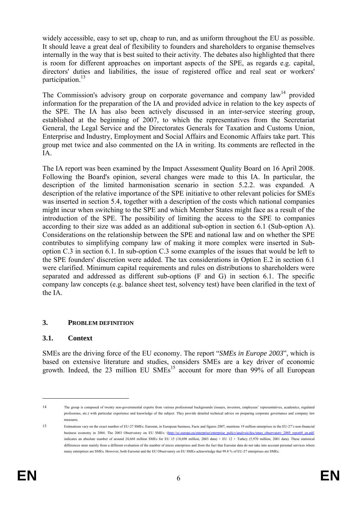widely accessible, easy to set up, cheap to run, and as uniform throughout the EU as possible. It should leave a great deal of flexibility to founders and shareholders to organise themselves internally in the way that is best suited to their activity. The debates also highlighted that there is room for different approaches on important aspects of the SPE, as regards e.g. capital, directors' duties and liabilities, the issue of registered office and real seat or workers' participation.<sup>13</sup>

The Commission's advisory group on corporate governance and company  $law<sup>14</sup>$  provided information for the preparation of the IA and provided advice in relation to the key aspects of the SPE. The IA has also been actively discussed in an inter-service steering group, established at the beginning of 2007, to which the representatives from the Secretariat General, the Legal Service and the Directorates Generals for Taxation and Customs Union, Enterprise and Industry, Employment and Social Affairs and Economic Affairs take part. This group met twice and also commented on the IA in writing. Its comments are reflected in the IA.

The IA report was been examined by the Impact Assessment Quality Board on 16 April 2008. Following the Board's opinion, several changes were made to this IA. In particular, the description of the limited harmonisation scenario in section 5.2.2. was expanded. A description of the relative importance of the SPE initiative to other relevant policies for SMEs was inserted in section 5.4, together with a description of the costs which national companies might incur when switching to the SPE and which Member States might face as a result of the introduction of the SPE. The possibility of limiting the access to the SPE to companies according to their size was added as an additional sub-option in section 6.1 (Sub-option A). Considerations on the relationship between the SPE and national law and on whether the SPE contributes to simplifying company law of making it more complex were inserted in Suboption C.3 in section 6.1. In sub-option C.3 some examples of the issues that would be left to the SPE founders' discretion were added. The tax considerations in Option E.2 in section 6.1 were clarified. Minimum capital requirements and rules on distributions to shareholders were separated and addressed as different sub-options (F and G) in section 6.1. The specific company law concepts (e.g. balance sheet test, solvency test) have been clarified in the text of the IA.

## <span id="page-5-1"></span><span id="page-5-0"></span>**3. PROBLEM DEFINITION**

## **3.1. Context**

SMEs are the driving force of the EU economy. The report "*SMEs in Europe 2003*", which is based on extensive literature and studies, considers SMEs are a key driver of economic growth. Indeed, the 23 million EU  $SMEs<sup>15</sup>$  account for more than 99% of all European

<sup>14</sup> The group is composed of twenty non-governmental experts from various professional backgrounds (issuers, investors, employees' representatives, academics, regulated professions, etc.) with particular experience and knowledge of the subject. They provide detailed technical advice on preparing corporate governance and company law measures.

<sup>15</sup> Estimations vary on the exact number of EU-27 SMEs: Eurostat, in European business, Facts and figures 2007, mentions 19 million enterprises in the EU-27's non-financial business economy in 2004. The 2003 Observatory on EU SMEs: (http://ec.europa.eu/enterprise/enterprise\_policy/analysis/doc/smes\_observatory\_2003\_report8\_en.pdf, indicates an absolute number of around 24,668 million SMEs for EU 15 (18,698 million, 2003 data) + EU 12 + Turkey (5,970 million, 2001 data). These statistical differences stem mainly from a different evaluation of the number of micro enterprises and from the fact that Eurostat data do not take into account personal services where many enterprises are SMEs. However, both Eurostat and the EU Observatory on EU SMEs acknowledge that 99.8 % of EU-27 enterprises are SMEs.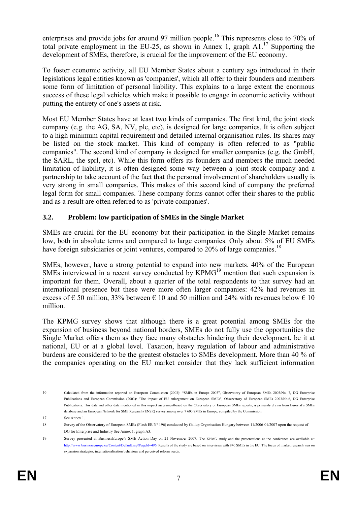enterprises and provide jobs for around 97 million people.<sup>16</sup> This represents close to 70% of total private employment in the EU-25, as shown in Annex 1, graph  $A1$ <sup>17</sup> Supporting the development of SMEs, therefore, is crucial for the improvement of the EU economy.

To foster economic activity, all EU Member States about a century ago introduced in their legislations legal entities known as 'companies', which all offer to their founders and members some form of limitation of personal liability. This explains to a large extent the enormous success of these legal vehicles which make it possible to engage in economic activity without putting the entirety of one's assets at risk.

Most EU Member States have at least two kinds of companies. The first kind, the joint stock company (e.g. the AG, SA, NV, plc, etc), is designed for large companies. It is often subject to a high minimum capital requirement and detailed internal organisation rules. Its shares may be listed on the stock market. This kind of company is often referred to as "public companies". The second kind of company is designed for smaller companies (e.g. the GmbH, the SARL, the sprl, etc). While this form offers its founders and members the much needed limitation of liability, it is often designed some way between a joint stock company and a partnership to take account of the fact that the personal involvement of shareholders usually is very strong in small companies. This makes of this second kind of company the preferred legal form for small companies. These company forms cannot offer their shares to the public and as a result are often referred to as 'private companies'.

## <span id="page-6-0"></span>**3.2. Problem: low participation of SMEs in the Single Market**

SMEs are crucial for the EU economy but their participation in the Single Market remains low, both in absolute terms and compared to large companies. Only about 5% of EU SMEs have foreign subsidiaries or joint ventures, compared to  $20\%$  of large companies.<sup>18</sup>

SMEs, however, have a strong potential to expand into new markets. 40% of the European SMEs interviewed in a recent survey conducted by  $KPMG<sup>19</sup>$  mention that such expansion is important for them. Overall, about a quarter of the total respondents to that survey had an international presence but these were more often larger companies: 42% had revenues in excess of  $\epsilon$  50 million, 33% between  $\epsilon$  10 and 50 million and 24% with revenues below  $\epsilon$  10 million.

The KPMG survey shows that although there is a great potential among SMEs for the expansion of business beyond national borders, SMEs do not fully use the opportunities the Single Market offers them as they face many obstacles hindering their development, be it at national, EU or at a global level. Taxation, heavy regulation of labour and administrative burdens are considered to be the greatest obstacles to SMEs development. More than 40 % of the companies operating on the EU market consider that they lack sufficient information

<u>.</u>

<sup>16</sup> Calculated from the information reported on European Commission (2003): "SMEs in Europe 2003", Observatory of European SMEs 2003/No. 7, DG Enterprise Publications and European Commission (2003): "The impact of EU enlargement on European SMEs", Observatory of European SMEs 2003/No.6, DG Enterprise Publications. This data and other data mentioned in this impact assessmentbased on the Observatory of European SMEs reports, is primarily drawn from Eurostat's SMEs database and an European Network for SME Research (ENSR) survey among over 7 600 SMEs in Europe, compiled by the Commission.

<sup>17</sup> See Annex 1.

<sup>18</sup> Survey of the Observatory of European SMEs (Flash EB N° 196) conducted by Gallup Organisation Hungary between 11/2006-01/2007 upon the request of DG for Enterprise and Industry See Annex 1, graph A3.

<sup>19</sup> Survey presented at BusinessEurope's SME Action Day on 21 November 2007. The KPMG study and the presentations at the conference are available at: [http://www.businesseurope.eu/Content/Default.asp?PageId=496. R](http://www.businesseurope.eu/Content/Default.asp?PageId=496)esults of the study are based on interviews with 840 SMEs in the EU. The focus of market research was on expansion strategies, internationalisation behaviour and perceived reform needs.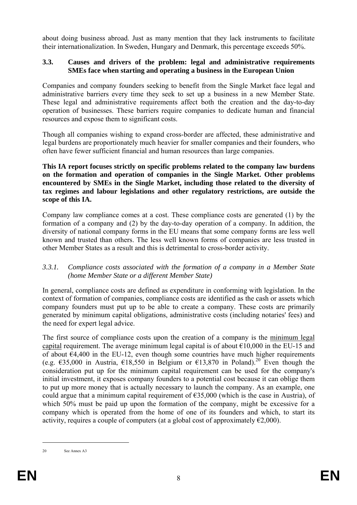<span id="page-7-0"></span>about doing business abroad. Just as many mention that they lack instruments to facilitate their internationalization. In Sweden, Hungary and Denmark, this percentage exceeds 50%.

### **3.3. Causes and drivers of the problem: legal and administrative requirements SMEs face when starting and operating a business in the European Union**

Companies and company founders seeking to benefit from the Single Market face legal and administrative barriers every time they seek to set up a business in a new Member State. These legal and administrative requirements affect both the creation and the day-to-day operation of businesses. These barriers require companies to dedicate human and financial resources and expose them to significant costs.

Though all companies wishing to expand cross-border are affected, these administrative and legal burdens are proportionately much heavier for smaller companies and their founders, who often have fewer sufficient financial and human resources than large companies.

#### **This IA report focuses strictly on specific problems related to the company law burdens on the formation and operation of companies in the Single Market. Other problems encountered by SMEs in the Single Market, including those related to the diversity of tax regimes and labour legislations and other regulatory restrictions, are outside the scope of this IA.**

Company law compliance comes at a cost. These compliance costs are generated (1) by the formation of a company and (2) by the day-to-day operation of a company. In addition, the diversity of national company forms in the EU means that some company forms are less well known and trusted than others. The less well known forms of companies are less trusted in other Member States as a result and this is detrimental to cross-border activity.

## *3.3.1. Compliance costs associated with the formation of a company in a Member State (home Member State or a different Member State)*

In general, compliance costs are defined as expenditure in conforming with legislation. In the context of formation of companies, compliance costs are identified as the cash or assets which company founders must put up to be able to create a company. These costs are primarily generated by minimum capital obligations, administrative costs (including notaries' fees) and the need for expert legal advice.

The first source of compliance costs upon the creation of a company is the minimum legal capital requirement. The average minimum legal capital is of about  $\epsilon$ 10,000 in the EU-15 and of about  $64,400$  in the EU-12, even though some countries have much higher requirements (e.g. €35,000 in Austria, €18,550 in Belgium or €13,870 in Poland).<sup>20</sup> Even though the consideration put up for the minimum capital requirement can be used for the company's initial investment, it exposes company founders to a potential cost because it can oblige them to put up more money that is actually necessary to launch the company. As an example, one could argue that a minimum capital requirement of  $635,000$  (which is the case in Austria), of which 50% must be paid up upon the formation of the company, might be excessive for a company which is operated from the home of one of its founders and which, to start its activity, requires a couple of computers (at a global cost of approximately  $\epsilon$ 2,000).

<sup>20</sup> See Annex A3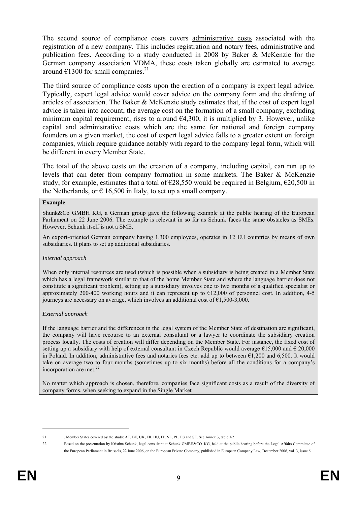The second source of compliance costs covers administrative costs associated with the registration of a new company. This includes registration and notary fees, administrative and publication fees. According to a study conducted in 2008 by Baker & McKenzie for the German company association VDMA, these costs taken globally are estimated to average around  $\epsilon$ 1300 for small companies.<sup>21</sup>

The third source of compliance costs upon the creation of a company is expert legal advice. Typically, expert legal advice would cover advice on the company form and the drafting of articles of association. The Baker & McKenzie study estimates that, if the cost of expert legal advice is taken into account, the average cost on the formation of a small company, excluding minimum capital requirement, rises to around  $64,300$ , it is multiplied by 3. However, unlike capital and administrative costs which are the same for national and foreign company founders on a given market, the cost of expert legal advice falls to a greater extent on foreign companies, which require guidance notably with regard to the company legal form, which will be different in every Member State.

The total of the above costs on the creation of a company, including capital, can run up to levels that can deter from company formation in some markets. The Baker & McKenzie study, for example, estimates that a total of  $\epsilon$ 28,550 would be required in Belgium,  $\epsilon$ 20,500 in the Netherlands, or  $\epsilon$  16,500 in Italy, to set up a small company.

#### **Example**

Shunk&Co GMBH KG, a German group gave the following example at the public hearing of the European Parliament on 22 June 2006. The example is relevant in so far as Schunk faces the same obstacles as SMEs. However, Schunk itself is not a SME.

An export-oriented German company having 1,300 employees, operates in 12 EU countries by means of own subsidiaries. It plans to set up additional subsidiaries.

#### *Internal approach*

When only internal resources are used (which is possible when a subsidiary is being created in a Member State which has a legal framework similar to that of the home Member State and where the language barrier does not constitute a significant problem), setting up a subsidiary involves one to two months of a qualified specialist or approximately 200-400 working hours and it can represent up to  $\epsilon$ 12,000 of personnel cost. In addition, 4-5 journeys are necessary on average, which involves an additional cost of  $\epsilon$ 1,500-3,000.

#### *External approach*

If the language barrier and the differences in the legal system of the Member State of destination are significant, the company will have recourse to an external consultant or a lawyer to coordinate the subsidiary creation process locally. The costs of creation will differ depending on the Member State. For instance, the fixed cost of setting up a subsidiary with help of external consultant in Czech Republic would average  $\epsilon$ 15,000 and  $\epsilon$  20,000 in Poland. In addition, administrative fees and notaries fees etc. add up to between €1,200 and 6,500. It would take on average two to four months (sometimes up to six months) before all the conditions for a company's incorporation are met. $^{22}$ 

No matter which approach is chosen, therefore, companies face significant costs as a result of the diversity of company forms, when seeking to expand in the Single Market

<sup>21 .</sup> Member States covered by the study: AT, BE, UK, FR, HU, IT, NL, PL, ES and SE. See Annex 3, table A2

<sup>22</sup> Based on the presentation by Kristina Schunk, legal consultant at Schunk GMBH&CO. KG, held at the public hearing before the Legal Affairs Committee of the European Parliament in Brussels, 22 June 2006, on the European Private Company, published in European Company Law, December 2006, vol. 3, issue 6.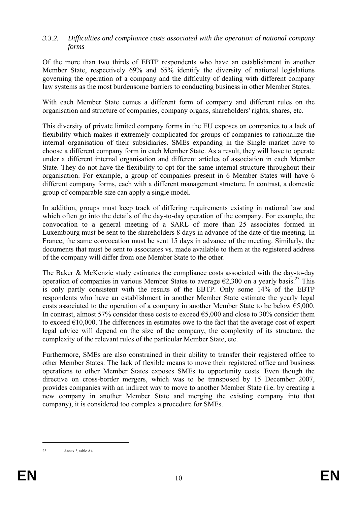### *3.3.2. Difficulties and compliance costs associated with the operation of national company forms*

Of the more than two thirds of EBTP respondents who have an establishment in another Member State, respectively 69% and 65% identify the diversity of national legislations governing the operation of a company and the difficulty of dealing with different company law systems as the most burdensome barriers to conducting business in other Member States.

With each Member State comes a different form of company and different rules on the organisation and structure of companies, company organs, shareholders' rights, shares, etc.

This diversity of private limited company forms in the EU exposes on companies to a lack of flexibility which makes it extremely complicated for groups of companies to rationalize the internal organisation of their subsidiaries. SMEs expanding in the Single market have to choose a different company form in each Member State. As a result, they will have to operate under a different internal organisation and different articles of association in each Member State. They do not have the flexibility to opt for the same internal structure throughout their organisation. For example, a group of companies present in 6 Member States will have 6 different company forms, each with a different management structure. In contrast, a domestic group of comparable size can apply a single model.

In addition, groups must keep track of differing requirements existing in national law and which often go into the details of the day-to-day operation of the company. For example, the convocation to a general meeting of a SARL of more than 25 associates formed in Luxembourg must be sent to the shareholders 8 days in advance of the date of the meeting. In France, the same convocation must be sent 15 days in advance of the meeting. Similarly, the documents that must be sent to associates vs. made available to them at the registered address of the company will differ from one Member State to the other.

The Baker & McKenzie study estimates the compliance costs associated with the day-to-day operation of companies in various Member States to average  $\epsilon$ 2,300 on a yearly basis.<sup>23</sup> This is only partly consistent with the results of the EBTP. Only some 14% of the EBTP respondents who have an establishment in another Member State estimate the yearly legal costs associated to the operation of a company in another Member State to be below  $65,000$ . In contrast, almost 57% consider these costs to exceed  $65,000$  and close to 30% consider them to exceed  $\epsilon$ 10,000. The differences in estimates owe to the fact that the average cost of expert legal advice will depend on the size of the company, the complexity of its structure, the complexity of the relevant rules of the particular Member State, etc.

Furthermore, SMEs are also constrained in their ability to transfer their registered office to other Member States. The lack of flexible means to move their registered office and business operations to other Member States exposes SMEs to opportunity costs. Even though the directive on cross-border mergers, which was to be transposed by 15 December 2007, provides companies with an indirect way to move to another Member State (i.e. by creating a new company in another Member State and merging the existing company into that company), it is considered too complex a procedure for SMEs.

<sup>23</sup> Annex 3, table A4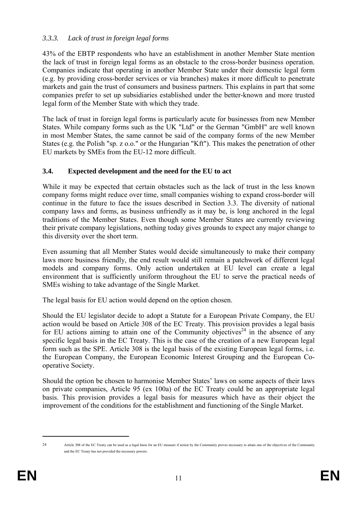## *3.3.3. Lack of trust in foreign legal forms*

43% of the EBTP respondents who have an establishment in another Member State mention the lack of trust in foreign legal forms as an obstacle to the cross-border business operation. Companies indicate that operating in another Member State under their domestic legal form (e.g. by providing cross-border services or via branches) makes it more difficult to penetrate markets and gain the trust of consumers and business partners. This explains in part that some companies prefer to set up subsidiaries established under the better-known and more trusted legal form of the Member State with which they trade.

<span id="page-10-0"></span>The lack of trust in foreign legal forms is particularly acute for businesses from new Member States. While company forms such as the UK "Ltd" or the German "GmbH" are well known in most Member States, the same cannot be said of the company forms of the new Member States (e.g. the Polish "sp. z o.o." or the Hungarian "Kft"). This makes the penetration of other EU markets by SMEs from the EU-12 more difficult.

## **3.4. Expected development and the need for the EU to act**

While it may be expected that certain obstacles such as the lack of trust in the less known company forms might reduce over time, small companies wishing to expand cross-border will continue in the future to face the issues described in Section 3.3. The diversity of national company laws and forms, as business unfriendly as it may be, is long anchored in the legal traditions of the Member States. Even though some Member States are currently reviewing their private company legislations, nothing today gives grounds to expect any major change to this diversity over the short term.

Even assuming that all Member States would decide simultaneously to make their company laws more business friendly, the end result would still remain a patchwork of different legal models and company forms. Only action undertaken at EU level can create a legal environment that is sufficiently uniform throughout the EU to serve the practical needs of SMEs wishing to take advantage of the Single Market.

The legal basis for EU action would depend on the option chosen.

Should the EU legislator decide to adopt a Statute for a European Private Company, the EU action would be based on Article 308 of the EC Treaty. This provision provides a legal basis for EU actions aiming to attain one of the Community objectives<sup>24</sup> in the absence of any specific legal basis in the EC Treaty. This is the case of the creation of a new European legal form such as the SPE. Article 308 is the legal basis of the existing European legal forms, i.e. the European Company, the European Economic Interest Grouping and the European Cooperative Society.

Should the option be chosen to harmonise Member States' laws on some aspects of their laws on private companies, Article 95 (ex 100a) of the EC Treaty could be an appropriate legal basis. This provision provides a legal basis for measures which have as their object the improvement of the conditions for the establishment and functioning of the Single Market.

<sup>1</sup> 

<sup>24</sup> Article 308 of the EC Treaty can be used as a legal basis for an EU measure if action by the Community proves necessary to attain one of the objectives of the Community and the EC Treaty has not provided the necessary powers.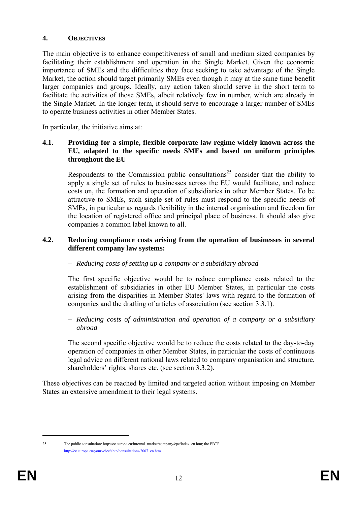## <span id="page-11-0"></span>**4. OBJECTIVES**

The main objective is to enhance competitiveness of small and medium sized companies by facilitating their establishment and operation in the Single Market. Given the economic importance of SMEs and the difficulties they face seeking to take advantage of the Single Market, the action should target primarily SMEs even though it may at the same time benefit larger companies and groups. Ideally, any action taken should serve in the short term to facilitate the activities of those SMEs, albeit relatively few in number, which are already in the Single Market. In the longer term, it should serve to encourage a larger number of SMEs to operate business activities in other Member States.

<span id="page-11-1"></span>In particular, the initiative aims at:

#### **4.1. Providing for a simple, flexible corporate law regime widely known across the EU, adapted to the specific needs SMEs and based on uniform principles throughout the EU**

Respondents to the Commission public consultations<sup>25</sup> consider that the ability to apply a single set of rules to businesses across the EU would facilitate, and reduce costs on, the formation and operation of subsidiaries in other Member States. To be attractive to SMEs, such single set of rules must respond to the specific needs of SMEs, in particular as regards flexibility in the internal organisation and freedom for the location of registered office and principal place of business. It should also give companies a common label known to all.

#### <span id="page-11-2"></span>**4.2. Reducing compliance costs arising from the operation of businesses in several different company law systems:**

## – *Reducing costs of setting up a company or a subsidiary abroad*

The first specific objective would be to reduce compliance costs related to the establishment of subsidiaries in other EU Member States, in particular the costs arising from the disparities in Member States' laws with regard to the formation of companies and the drafting of articles of association (see section 3.3.1).

### – *Reducing costs of administration and operation of a company or a subsidiary abroad*

The second specific objective would be to reduce the costs related to the day-to-day operation of companies in other Member States, in particular the costs of continuous legal advice on different national laws related to company organisation and structure, shareholders' rights, shares etc. (see section 3.3.2).

These objectives can be reached by limited and targeted action without imposing on Member States an extensive amendment to their legal systems.

<u>.</u>

<sup>25</sup> The public consultation: http://ec.europa.eu/internal\_market/company/epc/index\_en.htm; the EBTP:  $\theta$ http://ecnsultations/2007\_en.html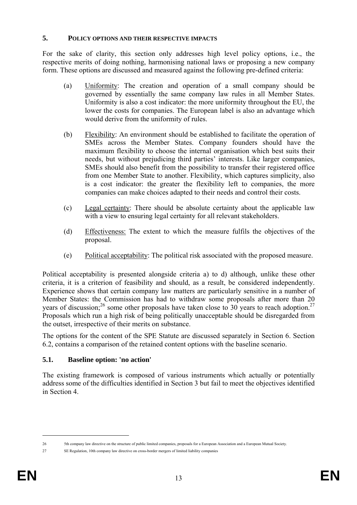## <span id="page-12-0"></span>**5. POLICY OPTIONS AND THEIR RESPECTIVE IMPACTS**

For the sake of clarity, this section only addresses high level policy options, i.e., the respective merits of doing nothing, harmonising national laws or proposing a new company form. These options are discussed and measured against the following pre-defined criteria:

- (a) Uniformity: The creation and operation of a small company should be governed by essentially the same company law rules in all Member States. Uniformity is also a cost indicator: the more uniformity throughout the EU, the lower the costs for companies. The European label is also an advantage which would derive from the uniformity of rules.
- (b) Flexibility: An environment should be established to facilitate the operation of SMEs across the Member States. Company founders should have the maximum flexibility to choose the internal organisation which best suits their needs, but without prejudicing third parties' interests. Like larger companies, SMEs should also benefit from the possibility to transfer their registered office from one Member State to another. Flexibility, which captures simplicity, also is a cost indicator: the greater the flexibility left to companies, the more companies can make choices adapted to their needs and control their costs.
- (c) Legal certainty: There should be absolute certainty about the applicable law with a view to ensuring legal certainty for all relevant stakeholders.
- (d) Effectiveness: The extent to which the measure fulfils the objectives of the proposal.
- (e) Political acceptability: The political risk associated with the proposed measure.

Political acceptability is presented alongside criteria a) to d) although, unlike these other criteria, it is a criterion of feasibility and should, as a result, be considered independently. Experience shows that certain company law matters are particularly sensitive in a number of Member States: the Commission has had to withdraw some proposals after more than 20 years of discussion;<sup>26</sup> some other proposals have taken close to 30 years to reach adoption.<sup>27</sup> Proposals which run a high risk of being politically unacceptable should be disregarded from the outset, irrespective of their merits on substance.

<span id="page-12-1"></span>The options for the content of the SPE Statute are discussed separately in Section 6. Section 6.2, contains a comparison of the retained content options with the baseline scenario.

## **5.1. Baseline option: 'no action'**

The existing framework is composed of various instruments which actually or potentially address some of the difficulties identified in Section 3 but fail to meet the objectives identified in Section 4.

<u>.</u>

<sup>26</sup> 5th company law directive on the structure of public limited companies, proposals for a European Association and a European Mutual Society.

<sup>27</sup> SE Regulation, 10th company law directive on cross-border mergers of limited liability companies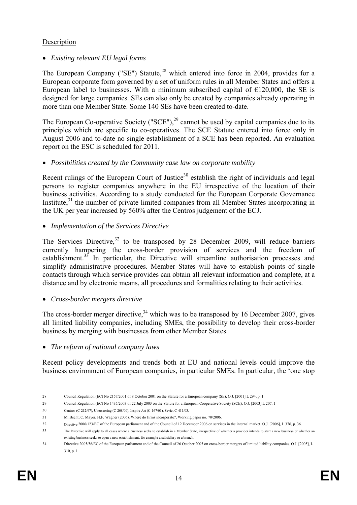### **Description**

## • *Existing relevant EU legal forms*

The European Company ("SE") Statute,<sup>28</sup> which entered into force in 2004, provides for a European corporate form governed by a set of uniform rules in all Member States and offers a European label to businesses. With a minimum subscribed capital of  $E120,000$ , the SE is designed for large companies. SEs can also only be created by companies already operating in more than one Member State. Some 140 SEs have been created to-date.

The European Co-operative Society ("SCE"),  $29$  cannot be used by capital companies due to its principles which are specific to co-operatives. The SCE Statute entered into force only in August 2006 and to-date no single establishment of a SCE has been reported. An evaluation report on the ESC is scheduled for 2011.

### • *Possibilities created by the Community case law on corporate mobility*

Recent rulings of the European Court of Justice<sup>30</sup> establish the right of individuals and legal persons to register companies anywhere in the EU irrespective of the location of their business activities. According to a study conducted for the European Corporate Governance Institute, $31$  the number of private limited companies from all Member States incorporating in the UK per year increased by 560% after the Centros judgement of the ECJ.

### • *Implementation of the Services Directive*

The Services Directive,  $32$  to be transposed by 28 December 2009, will reduce barriers currently hampering the cross-border provision of services and the freedom of establishment.<sup>33</sup> In particular, the Directive will streamline authorisation processes and simplify administrative procedures. Member States will have to establish points of single contacts through which service provides can obtain all relevant information and complete, at a distance and by electronic means, all procedures and formalities relating to their activities.

• *Cross-border mergers directive* 

The cross-border merger directive,  $34$  which was to be transposed by 16 December 2007, gives all limited liability companies, including SMEs, the possibility to develop their cross-border business by merging with businesses from other Member States.

• *The reform of national company laws* 

Recent policy developments and trends both at EU and national levels could improve the business environment of European companies, in particular SMEs. In particular, the 'one stop

<sup>28</sup> Council Regulation (EC) No 2157/2001 of 8 October 2001 on the Statute for a European company (SE), O.J. [2001] L 294, p. 1

<sup>29</sup> Council Regulation (EC) No 1435/2003 of 22 July 2003 on the Statute for a European Cooperative Society (SCE), O.J. [2003] L 207, 1

<sup>30</sup> Centros (C-212/97), Überseering (C-208/00), Inspire Art (C-167/01), Sevic, C-411/03.

<sup>31</sup> M. Becht, C. Mayer, H.F. Wagner (2006). Where do firms incorporate?, Working paper no. 70/2006.

<sup>32</sup> Directive 2006/123/EC of the European parliament and of the Council of 12 December 2006 on services in the internal market. O.J. [2006], L 376, p. 36.

<sup>33</sup> The Directive will apply to all cases where a business seeks to establish in a Member State, irrespective of whether a provider intends to start a new business or whether an existing business seeks to open a new establishment, for example a subsidiary or a branch.

<sup>34</sup> Directive 2005/56/EC of the European parliament and of the Council of 26 October 2005 on cross-border mergers of limited liability companies. O.J. [2005], L 310, p. 1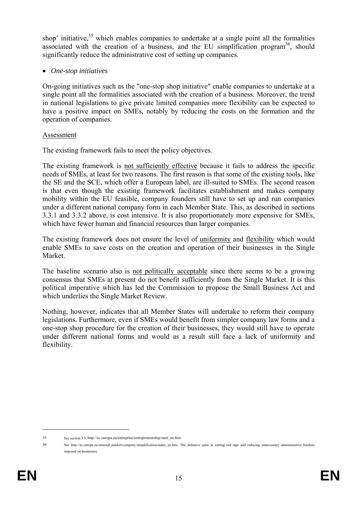shop' initiative,  $35$  which enables companies to undertake at a single point all the formalities associated with the creation of a business, and the EU simplification program<sup>36</sup>, should significantly reduce the administrative cost of setting up companies.

• *One-stop initiatives* 

On-going initiatives such as the "one-stop shop initiative" enable companies to undertake at a single point all the formalities associated with the creation of a business. Moreover, the trend in national legislations to give private limited companies more flexibility can be expected to have a positive impact on SMEs, notably by reducing the costs on the formation and the operation of companies.

## Assessment

The existing framework fails to meet the policy objectives.

The existing framework is not sufficiently effective because it fails to address the specific needs of SMEs, at least for two reasons. The first reason is that some of the existing tools, like the SE and the SCE, which offer a European label, are ill-suited to SMEs. The second reason is that even though the existing framework facilitates establishment and makes company mobility within the EU feasible, company founders still have to set up and run companies under a different national company form in each Member State. This, as described in sections 3.3.1 and 3.3.2 above, is cost intensive. It is also proportionately more expensive for SMEs, which have fewer human and financial resources than larger companies.

The existing framework does not ensure the level of uniformity and flexibility which would enable SMEs to save costs on the creation and operation of their businesses in the Single Market.

The baseline scenario also is not politically acceptable since there seems to be a growing consensus that SMEs at present do not benefit sufficiently from the Single Market. It is this political imperative which has led the Commission to propose the Small Business Act and which underlies the Single Market Review.

Nothing, however, indicates that all Member States will undertake to reform their company legislations. Furthermore, even if SMEs would benefit from simpler company law forms and a one-stop shop procedure for the creation of their businesses, they would still have to operate under different national forms and would as a result still face a lack of uniformity and flexibility.

<sup>35</sup> See section 3.3. http://ec.europa.eu/enterprise/entrepreneurship/start\_en.htm

<sup>36</sup> See http://ec.europa.eu/internal\_market/company/simplification/index\_en.htm. The initiative aims at cutting red tape and reducing unnecessary administrative burdens imposed on businesses.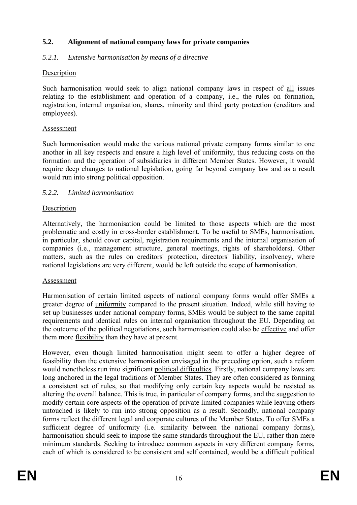## <span id="page-15-0"></span>**5.2. Alignment of national company laws for private companies**

## *5.2.1. Extensive harmonisation by means of a directive*

#### Description

Such harmonisation would seek to align national company laws in respect of all issues relating to the establishment and operation of a company, i.e., the rules on formation, registration, internal organisation, shares, minority and third party protection (creditors and employees).

### Assessment

Such harmonisation would make the various national private company forms similar to one another in all key respects and ensure a high level of uniformity, thus reducing costs on the formation and the operation of subsidiaries in different Member States. However, it would require deep changes to national legislation, going far beyond company law and as a result would run into strong political opposition.

### *5.2.2. Limited harmonisation*

### **Description**

Alternatively, the harmonisation could be limited to those aspects which are the most problematic and costly in cross-border establishment. To be useful to SMEs, harmonisation, in particular, should cover capital, registration requirements and the internal organisation of companies (i.e., management structure, general meetings, rights of shareholders). Other matters, such as the rules on creditors' protection, directors' liability, insolvency, where national legislations are very different, would be left outside the scope of harmonisation.

#### Assessment

Harmonisation of certain limited aspects of national company forms would offer SMEs a greater degree of uniformity compared to the present situation. Indeed, while still having to set up businesses under national company forms, SMEs would be subject to the same capital requirements and identical rules on internal organisation throughout the EU. Depending on the outcome of the political negotiations, such harmonisation could also be effective and offer them more flexibility than they have at present.

However, even though limited harmonisation might seem to offer a higher degree of feasibility than the extensive harmonisation envisaged in the preceding option, such a reform would nonetheless run into significant political difficulties. Firstly, national company laws are long anchored in the legal traditions of Member States. They are often considered as forming a consistent set of rules, so that modifying only certain key aspects would be resisted as altering the overall balance. This is true, in particular of company forms, and the suggestion to modify certain core aspects of the operation of private limited companies while leaving others untouched is likely to run into strong opposition as a result. Secondly, national company forms reflect the different legal and corporate cultures of the Member States. To offer SMEs a sufficient degree of uniformity (i.e. similarity between the national company forms), harmonisation should seek to impose the same standards throughout the EU, rather than mere minimum standards. Seeking to introduce common aspects in very different company forms, each of which is considered to be consistent and self contained, would be a difficult political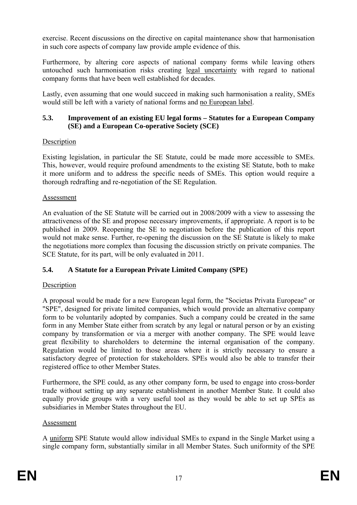exercise. Recent discussions on the directive on capital maintenance show that harmonisation in such core aspects of company law provide ample evidence of this.

Furthermore, by altering core aspects of national company forms while leaving others untouched such harmonisation risks creating legal uncertainty with regard to national company forms that have been well established for decades.

<span id="page-16-0"></span>Lastly, even assuming that one would succeed in making such harmonisation a reality, SMEs would still be left with a variety of national forms and no European label.

## **5.3. Improvement of an existing EU legal forms – Statutes for a European Company (SE) and a European Co-operative Society (SCE)**

## Description

Existing legislation, in particular the SE Statute, could be made more accessible to SMEs. This, however, would require profound amendments to the existing SE Statute, both to make it more uniform and to address the specific needs of SMEs. This option would require a thorough redrafting and re-negotiation of the SE Regulation.

## Assessment

<span id="page-16-1"></span>An evaluation of the SE Statute will be carried out in 2008/2009 with a view to assessing the attractiveness of the SE and propose necessary improvements, if appropriate. A report is to be published in 2009. Reopening the SE to negotiation before the publication of this report would not make sense. Further, re-opening the discussion on the SE Statute is likely to make the negotiations more complex than focusing the discussion strictly on private companies. The SCE Statute, for its part, will be only evaluated in 2011.

## **5.4. A Statute for a European Private Limited Company (SPE)**

## Description

A proposal would be made for a new European legal form, the "Societas Privata Europeae" or "SPE", designed for private limited companies, which would provide an alternative company form to be voluntarily adopted by companies. Such a company could be created in the same form in any Member State either from scratch by any legal or natural person or by an existing company by transformation or via a merger with another company. The SPE would leave great flexibility to shareholders to determine the internal organisation of the company. Regulation would be limited to those areas where it is strictly necessary to ensure a satisfactory degree of protection for stakeholders. SPEs would also be able to transfer their registered office to other Member States.

Furthermore, the SPE could, as any other company form, be used to engage into cross-border trade without setting up any separate establishment in another Member State. It could also equally provide groups with a very useful tool as they would be able to set up SPEs as subsidiaries in Member States throughout the EU.

## Assessment

A uniform SPE Statute would allow individual SMEs to expand in the Single Market using a single company form, substantially similar in all Member States. Such uniformity of the SPE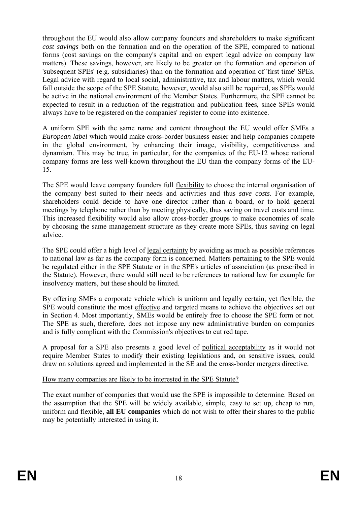throughout the EU would also allow company founders and shareholders to make significant *cost savings* both on the formation and on the operation of the SPE, compared to national forms (cost savings on the company's capital and on expert legal advice on company law matters). These savings, however, are likely to be greater on the formation and operation of 'subsequent SPEs' (e.g. subsidiaries) than on the formation and operation of 'first time' SPEs. Legal advice with regard to local social, administrative, tax and labour matters, which would fall outside the scope of the SPE Statute, however, would also still be required, as SPEs would be active in the national environment of the Member States. Furthermore, the SPE cannot be expected to result in a reduction of the registration and publication fees, since SPEs would always have to be registered on the companies' register to come into existence.

A uniform SPE with the same name and content throughout the EU would offer SMEs a *European label* which would make cross-border business easier and help companies compete in the global environment, by enhancing their image, visibility, competitiveness and dynamism. This may be true, in particular, for the companies of the EU-12 whose national company forms are less well-known throughout the EU than the company forms of the EU-15.

The SPE would leave company founders full flexibility to choose the internal organisation of the company best suited to their needs and activities and thus *save costs*. For example, shareholders could decide to have one director rather than a board, or to hold general meetings by telephone rather than by meeting physically, thus saving on travel costs and time. This increased flexibility would also allow cross-border groups to make economies of scale by choosing the same management structure as they create more SPEs, thus saving on legal advice.

The SPE could offer a high level of legal certainty by avoiding as much as possible references to national law as far as the company form is concerned. Matters pertaining to the SPE would be regulated either in the SPE Statute or in the SPE's articles of association (as prescribed in the Statute). However, there would still need to be references to national law for example for insolvency matters, but these should be limited.

By offering SMEs a corporate vehicle which is uniform and legally certain, yet flexible, the SPE would constitute the most effective and targeted means to achieve the objectives set out in Section 4. Most importantly, SMEs would be entirely free to choose the SPE form or not. The SPE as such, therefore, does not impose any new administrative burden on companies and is fully compliant with the Commission's objectives to cut red tape.

A proposal for a SPE also presents a good level of political acceptability as it would not require Member States to modify their existing legislations and, on sensitive issues, could draw on solutions agreed and implemented in the SE and the cross-border mergers directive.

## How many companies are likely to be interested in the SPE Statute?

The exact number of companies that would use the SPE is impossible to determine. Based on the assumption that the SPE will be widely available, simple, easy to set up, cheap to run, uniform and flexible, **all EU companies** which do not wish to offer their shares to the public may be potentially interested in using it.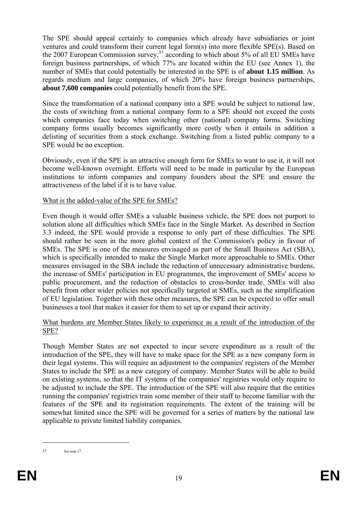The SPE should appeal certainly to companies which already have subsidiaries or joint ventures and could transform their current legal form(s) into more flexible SPE(s). Based on the 2007 European Commission survey,  $37$  according to which about 5% of all EU SMEs have foreign business partnerships, of which 77% are located within the EU (see Annex 1), the number of SMEs that could potentially be interested in the SPE is of **about 1.15 million**. As regards medium and large companies, of which 20% have foreign business partnerships, **about 7,600 companies** could potentially benefit from the SPE.

Since the transformation of a national company into a SPE would be subject to national law, the costs of switching from a national company form to a SPE should not exceed the costs which companies face today when switching other (national) company forms. Switching company forms usually becomes significantly more costly when it entails in addition a delisting of securities from a stock exchange. Switching from a listed public company to a SPE would be no exception.

Obviously, even if the SPE is an attractive enough form for SMEs to want to use it, it will not become well-known overnight. Efforts will need to be made in particular by the European institutions to inform companies and company founders about the SPE and ensure the attractiveness of the label if it is to have value.

## What is the added-value of the SPE for SMEs?

Even though it would offer SMEs a valuable business vehicle, the SPE does not purport to solution alone all difficulties which SMEs face in the Single Market. As described in Section 3.3 indeed, the SPE would provide a response to only part of these difficulties. The SPE should rather be seen in the more global context of the Commission's policy in favour of SMEs. The SPE is one of the measures envisaged as part of the Small Business Act (SBA), which is specifically intended to make the Single Market more approachable to SMEs. Other measures envisaged in the SBA include the reduction of unnecessary administrative burdens, the increase of SMEs' participation in EU programmes, the improvement of SMEs' access to public procurement, and the reduction of obstacles to cross-border trade. SMEs will also benefit from other wider policies not specifically targeted at SMEs, such as the simplification of EU legislation. Together with these other measures, the SPE can be expected to offer small businesses a tool that makes it easier for them to set up or expand their activity.

### What burdens are Member States likely to experience as a result of the introduction of the SPE?

Though Member States are not expected to incur severe expenditure as a result of the introduction of the SPE, they will have to make space for the SPE as a new company form in their legal systems. This will require an adjustment to the companies' registers of the Member States to include the SPE as a new category of company. Member States will be able to build on existing systems, so that the IT systems of the companies' registries would only require to be adjusted to include the SPE. The introduction of the SPE will also require that the entities running the companies' registries train some member of their staff to become familiar with the features of the SPE and its registration requirements. The extent of the training will be somewhat limited since the SPE will be governed for a series of matters by the national law applicable to private limited liability companies.

<sup>37</sup> See note 17.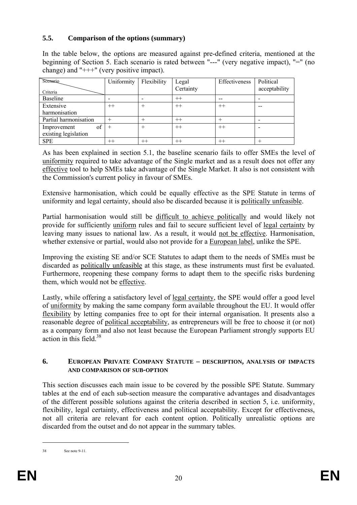## <span id="page-19-0"></span>**5.5. Comparison of the options (summary)**

In the table below, the options are measured against pre-defined criteria, mentioned at the beginning of Section 5. Each scenario is rated between "---" (very negative impact), "=" (no change) and "+++" (very positive impact).

| Scenario              | Uniformity | Flexibility | Legal     | Effectiveness | Political     |
|-----------------------|------------|-------------|-----------|---------------|---------------|
| Criteria              |            |             | Certainty |               | acceptability |
| <b>Baseline</b>       |            |             | $^{++}$   |               |               |
| Extensive             | $^{++}$    |             | $^{++}$   | $^{++}$       |               |
| harmonisation         |            |             |           |               |               |
| Partial harmonisation |            |             | $^{++}$   |               |               |
| of<br>Improvement     |            |             | $^{++}$   | $++$          |               |
| existing legislation  |            |             |           |               |               |
| <b>SPE</b>            | $^{++}$    | $^{++}$     | $^{++}$   | $^{++}$       |               |

As has been explained in section 5.1, the baseline scenario fails to offer SMEs the level of uniformity required to take advantage of the Single market and as a result does not offer any effective tool to help SMEs take advantage of the Single Market. It also is not consistent with the Commission's current policy in favour of SMEs.

Extensive harmonisation, which could be equally effective as the SPE Statute in terms of uniformity and legal certainty, should also be discarded because it is politically unfeasible.

Partial harmonisation would still be difficult to achieve politically and would likely not provide for sufficiently uniform rules and fail to secure sufficient level of legal certainty by leaving many issues to national law. As a result, it would not be effective. Harmonisation, whether extensive or partial, would also not provide for a European label, unlike the SPE.

Improving the existing SE and/or SCE Statutes to adapt them to the needs of SMEs must be discarded as politically unfeasible at this stage, as these instruments must first be evaluated. Furthermore, reopening these company forms to adapt them to the specific risks burdening them, which would not be effective.

<span id="page-19-1"></span>Lastly, while offering a satisfactory level of legal certainty, the SPE would offer a good level of uniformity by making the same company form available throughout the EU. It would offer flexibility by letting companies free to opt for their internal organisation. It presents also a reasonable degree of political acceptability, as entrepreneurs will be free to choose it (or not) as a company form and also not least because the European Parliament strongly supports EU action in this field  $38$ 

#### **6. EUROPEAN PRIVATE COMPANY STATUTE – DESCRIPTION, ANALYSIS OF IMPACTS AND COMPARISON OF SUB-OPTION**

This section discusses each main issue to be covered by the possible SPE Statute. Summary tables at the end of each sub-section measure the comparative advantages and disadvantages of the different possible solutions against the criteria described in section 5, i.e. uniformity, flexibility, legal certainty, effectiveness and political acceptability. Except for effectiveness, not all criteria are relevant for each content option. Politically unrealistic options are discarded from the outset and do not appear in the summary tables.

<sup>38</sup> See note 9-11.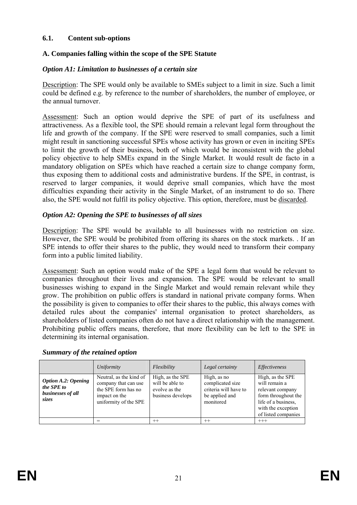### <span id="page-20-0"></span>**6.1. Content sub-options**

## **A. Companies falling within the scope of the SPE Statute**

## *Option A1: Limitation to businesses of a certain size*

Description: The SPE would only be available to SMEs subject to a limit in size. Such a limit could be defined e.g. by reference to the number of shareholders, the number of employee, or the annual turnover.

Assessment: Such an option would deprive the SPE of part of its usefulness and attractiveness. As a flexible tool, the SPE should remain a relevant legal form throughout the life and growth of the company. If the SPE were reserved to small companies, such a limit might result in sanctioning successful SPEs whose activity has grown or even in inciting SPEs to limit the growth of their business, both of which would be inconsistent with the global policy objective to help SMEs expand in the Single Market. It would result de facto in a mandatory obligation on SPEs which have reached a certain size to change company form, thus exposing them to additional costs and administrative burdens. If the SPE, in contrast, is reserved to larger companies, it would deprive small companies, which have the most difficulties expanding their activity in the Single Market, of an instrument to do so. There also, the SPE would not fulfil its policy objective. This option, therefore, must be discarded.

## *Option A2: Opening the SPE to businesses of all sizes*

Description: The SPE would be available to all businesses with no restriction on size. However, the SPE would be prohibited from offering its shares on the stock markets. . If an SPE intends to offer their shares to the public, they would need to transform their company form into a public limited liability.

Assessment: Such an option would make of the SPE a legal form that would be relevant to companies throughout their lives and expansion. The SPE would be relevant to small businesses wishing to expand in the Single Market and would remain relevant while they grow. The prohibition on public offers is standard in national private company forms. When the possibility is given to companies to offer their shares to the public, this always comes with detailed rules about the companies' internal organisation to protect shareholders, as shareholders of listed companies often do not have a direct relationship with the management. Prohibiting public offers means, therefore, that more flexibility can be left to the SPE in determining its internal organisation.

|                                                                               | Uniformity                                                                                                       | Flexibility                                                               | Legal certainty                                                                         | <i>Effectiveness</i>                                                                                                                             |
|-------------------------------------------------------------------------------|------------------------------------------------------------------------------------------------------------------|---------------------------------------------------------------------------|-----------------------------------------------------------------------------------------|--------------------------------------------------------------------------------------------------------------------------------------------------|
| <b>Option A.2: Opening</b><br>the SPE to<br>businesses of all<br><i>sizes</i> | Neutral, as the kind of<br>company that can use<br>the SPE form has no<br>impact on the<br>uniformity of the SPE | High, as the SPE<br>will be able to<br>evolve as the<br>business develops | High, as no<br>complicated size<br>criteria will have to<br>be applied and<br>monitored | High, as the SPE<br>will remain a<br>relevant company<br>form throughout the<br>life of a business,<br>with the exception<br>of listed companies |
|                                                                               | =                                                                                                                | $^{++}$                                                                   | $^{++}$                                                                                 | $^{+++}$                                                                                                                                         |

#### *Summary of the retained option*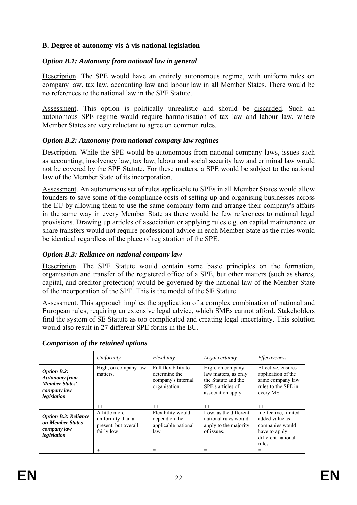## **B. Degree of autonomy vis-à-vis national legislation**

### *Option B.1: Autonomy from national law in general*

Description. The SPE would have an entirely autonomous regime, with uniform rules on company law, tax law, accounting law and labour law in all Member States. There would be no references to the national law in the SPE Statute.

Assessment. This option is politically unrealistic and should be discarded. Such an autonomous SPE regime would require harmonisation of tax law and labour law, where Member States are very reluctant to agree on common rules.

### *Option B.2: Autonomy from national company law regimes*

Description. While the SPE would be autonomous from national company laws, issues such as accounting, insolvency law, tax law, labour and social security law and criminal law would not be covered by the SPE Statute. For these matters, a SPE would be subject to the national law of the Member State of its incorporation.

Assessment. An autonomous set of rules applicable to SPEs in all Member States would allow founders to save some of the compliance costs of setting up and organising businesses across the EU by allowing them to use the same company form and arrange their company's affairs in the same way in every Member State as there would be few references to national legal provisions. Drawing up articles of association or applying rules e.g. on capital maintenance or share transfers would not require professional advice in each Member State as the rules would be identical regardless of the place of registration of the SPE.

#### *Option B.3: Reliance on national company law*

Description. The SPE Statute would contain some basic principles on the formation, organisation and transfer of the registered office of a SPE, but other matters (such as shares, capital, and creditor protection) would be governed by the national law of the Member State of the incorporation of the SPE. This is the model of the SE Statute.

Assessment. This approach implies the application of a complex combination of national and European rules, requiring an extensive legal advice, which SMEs cannot afford. Stakeholders find the system of SE Statute as too complicated and creating legal uncertainty. This solution would also result in 27 different SPE forms in the EU.

|                                                                                                   | Uniformity                                                                | Flexibility                                                                 | Legal certainty                                                                                            | Effectiveness                                                                                              |
|---------------------------------------------------------------------------------------------------|---------------------------------------------------------------------------|-----------------------------------------------------------------------------|------------------------------------------------------------------------------------------------------------|------------------------------------------------------------------------------------------------------------|
| <b>Option B.2:</b><br><b>Autonomy</b> from<br><b>Member States'</b><br>company law<br>legislation | High, on company law<br>matters.                                          | Full flexibility to<br>determine the<br>company's internal<br>organisation. | High, on company<br>law matters, as only<br>the Statute and the<br>SPE's articles of<br>association apply. | Effective, ensures<br>application of the<br>same company law<br>rules to the SPE in<br>every MS.           |
|                                                                                                   | $^{++}$                                                                   | $++$                                                                        | $^{++}$                                                                                                    | $^{++}$                                                                                                    |
| <b>Option B.3: Reliance</b><br>on Member States'<br>company law<br>legislation                    | A little more<br>uniformity than at<br>present, but overall<br>fairly low | Flexibility would<br>depend on the<br>applicable national<br>law            | Low, as the different<br>national rules would<br>apply to the majority<br>of issues.                       | Ineffective, limited<br>added value as<br>companies would<br>have to apply<br>different national<br>rules. |
|                                                                                                   | $\pm$                                                                     |                                                                             |                                                                                                            |                                                                                                            |

#### *Comparison of the retained options*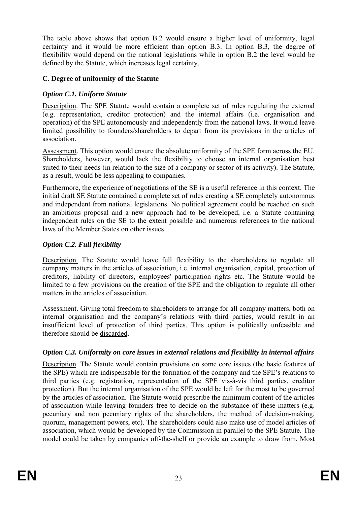The table above shows that option B.2 would ensure a higher level of uniformity, legal certainty and it would be more efficient than option B.3. In option B.3, the degree of flexibility would depend on the national legislations while in option B.2 the level would be defined by the Statute, which increases legal certainty.

## **C. Degree of uniformity of the Statute**

## *Option C.1. Uniform Statute*

Description. The SPE Statute would contain a complete set of rules regulating the external (e.g. representation, creditor protection) and the internal affairs (i.e. organisation and operation) of the SPE autonomously and independently from the national laws. It would leave limited possibility to founders/shareholders to depart from its provisions in the articles of association.

Assessment. This option would ensure the absolute uniformity of the SPE form across the EU. Shareholders, however, would lack the flexibility to choose an internal organisation best suited to their needs (in relation to the size of a company or sector of its activity). The Statute, as a result, would be less appealing to companies.

Furthermore, the experience of negotiations of the SE is a useful reference in this context. The initial draft SE Statute contained a complete set of rules creating a SE completely autonomous and independent from national legislations. No political agreement could be reached on such an ambitious proposal and a new approach had to be developed, i.e. a Statute containing independent rules on the SE to the extent possible and numerous references to the national laws of the Member States on other issues.

## *Option C.2. Full flexibility*

Description. The Statute would leave full flexibility to the shareholders to regulate all company matters in the articles of association, i.e. internal organisation, capital, protection of creditors, liability of directors, employees' participation rights etc. The Statute would be limited to a few provisions on the creation of the SPE and the obligation to regulate all other matters in the articles of association.

Assessment. Giving total freedom to shareholders to arrange for all company matters, both on internal organisation and the company's relations with third parties, would result in an insufficient level of protection of third parties. This option is politically unfeasible and therefore should be discarded.

## *Option C.3. Uniformity on core issues in external relations and flexibility in internal affairs*

Description. The Statute would contain provisions on some core issues (the basic features of the SPE) which are indispensable for the formation of the company and the SPE's relations to third parties (e.g. registration, representation of the SPE vis-à-vis third parties, creditor protection). But the internal organisation of the SPE would be left for the most to be governed by the articles of association. The Statute would prescribe the minimum content of the articles of association while leaving founders free to decide on the substance of these matters (e.g. pecuniary and non pecuniary rights of the shareholders, the method of decision-making, quorum, management powers, etc). The shareholders could also make use of model articles of association, which would be developed by the Commission in parallel to the SPE Statute. The model could be taken by companies off-the-shelf or provide an example to draw from. Most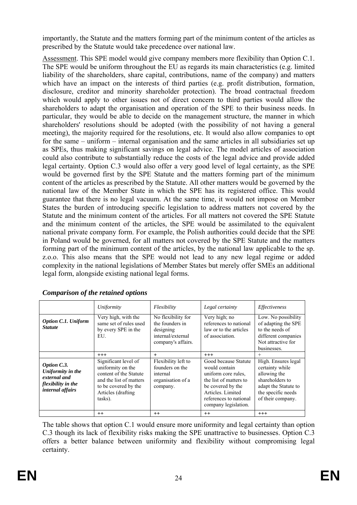importantly, the Statute and the matters forming part of the minimum content of the articles as prescribed by the Statute would take precedence over national law.

Assessment. This SPE model would give company members more flexibility than Option C.1. The SPE would be uniform throughout the EU as regards its main characteristics (e.g. limited liability of the shareholders, share capital, contributions, name of the company) and matters which have an impact on the interests of third parties (e.g. profit distribution, formation, disclosure, creditor and minority shareholder protection). The broad contractual freedom which would apply to other issues not of direct concern to third parties would allow the shareholders to adapt the organisation and operation of the SPE to their business needs. In particular, they would be able to decide on the management structure, the manner in which shareholders' resolutions should be adopted (with the possibility of not having a general meeting), the majority required for the resolutions, etc. It would also allow companies to opt for the same – uniform – internal organisation and the same articles in all subsidiaries set up as SPEs, thus making significant savings on legal advice. The model articles of association could also contribute to substantially reduce the costs of the legal advice and provide added legal certainty. Option C.3 would also offer a very good level of legal certainty, as the SPE would be governed first by the SPE Statute and the matters forming part of the minimum content of the articles as prescribed by the Statute. All other matters would be governed by the national law of the Member State in which the SPE has its registered office. This would guarantee that there is no legal vacuum. At the same time, it would not impose on Member States the burden of introducing specific legislation to address matters not covered by the Statute and the minimum content of the articles. For all matters not covered the SPE Statute and the minimum content of the articles, the SPE would be assimilated to the equivalent national private company form. For example, the Polish authorities could decide that the SPE in Poland would be governed, for all matters not covered by the SPE Statute and the matters forming part of the minimum content of the articles, by the national law applicable to the sp. z.o.o. This also means that the SPE would not lead to any new legal regime or added complexity in the national legislations of Member States but merely offer SMEs an additional legal form, alongside existing national legal forms.

| <b>Option C.1. Uniform</b><br><b>Statute</b>                                                      | Uniformity<br>Very high, with the<br>same set of rules used<br>by every SPE in the<br>EU.                                                                         | Flexibility<br>No flexibility for<br>the founders in<br>designing<br>internal/external<br>company's affairs. | Legal certainty<br>Very high; no<br>references to national<br>law or to the articles<br>of association.                                                                                     | Effectiveness<br>Low. No possibility<br>of adapting the SPE<br>to the needs of<br>different companies<br>Not attractive for<br>businesses.             |
|---------------------------------------------------------------------------------------------------|-------------------------------------------------------------------------------------------------------------------------------------------------------------------|--------------------------------------------------------------------------------------------------------------|---------------------------------------------------------------------------------------------------------------------------------------------------------------------------------------------|--------------------------------------------------------------------------------------------------------------------------------------------------------|
| Option C.3.<br>Uniformity in the<br>external and<br><i>flexibility in the</i><br>internal affairs | $+++$<br>Significant level of<br>uniformity on the<br>content of the Statute<br>and the list of matters<br>to be covered by the<br>Articles (drafting)<br>tasks). | $+$<br>Flexibility left to<br>founders on the<br>internal<br>organisation of a<br>company.                   | $+++$<br>Good because Statute<br>would contain<br>uniform core rules.<br>the list of matters to<br>be covered by the<br>Articles. Limited<br>references to national<br>company legislation. | $^{+}$<br>High. Ensures legal<br>certainty while<br>allowing the<br>shareholders to<br>adapt the Statute to<br>the specific needs<br>of their company. |
|                                                                                                   | $++$                                                                                                                                                              | $++$                                                                                                         | $++$                                                                                                                                                                                        | $+++$                                                                                                                                                  |

*Comparison of the retained options* 

The table shows that option C.1 would ensure more uniformity and legal certainty than option C.3 though its lack of flexibility risks making the SPE unattractive to businesses. Option C.3 offers a better balance between uniformity and flexibility without compromising legal certainty.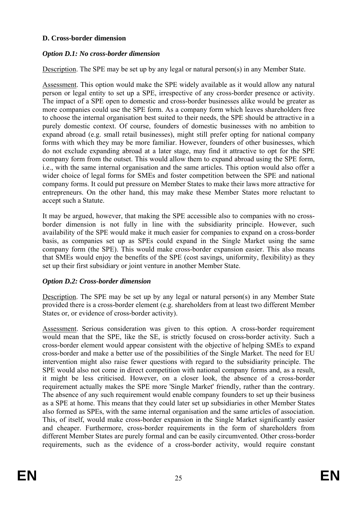### **D. Cross-border dimension**

## *Option D.1: No cross-border dimension*

Description. The SPE may be set up by any legal or natural person(s) in any Member State.

Assessment. This option would make the SPE widely available as it would allow any natural person or legal entity to set up a SPE, irrespective of any cross-border presence or activity. The impact of a SPE open to domestic and cross-border businesses alike would be greater as more companies could use the SPE form. As a company form which leaves shareholders free to choose the internal organisation best suited to their needs, the SPE should be attractive in a purely domestic context. Of course, founders of domestic businesses with no ambition to expand abroad (e.g. small retail businesses), might still prefer opting for national company forms with which they may be more familiar. However, founders of other businesses, which do not exclude expanding abroad at a later stage, may find it attractive to opt for the SPE company form from the outset. This would allow them to expand abroad using the SPE form, i.e., with the same internal organisation and the same articles. This option would also offer a wider choice of legal forms for SMEs and foster competition between the SPE and national company forms. It could put pressure on Member States to make their laws more attractive for entrepreneurs. On the other hand, this may make these Member States more reluctant to accept such a Statute.

It may be argued, however, that making the SPE accessible also to companies with no crossborder dimension is not fully in line with the subsidiarity principle. However, such availability of the SPE would make it much easier for companies to expand on a cross-border basis, as companies set up as SPEs could expand in the Single Market using the same company form (the SPE). This would make cross-border expansion easier. This also means that SMEs would enjoy the benefits of the SPE (cost savings, uniformity, flexibility) as they set up their first subsidiary or joint venture in another Member State.

## *Option D.2: Cross-border dimension*

Description. The SPE may be set up by any legal or natural person(s) in any Member State provided there is a cross-border element (e.g. shareholders from at least two different Member States or, or evidence of cross-border activity).

Assessment. Serious consideration was given to this option. A cross-border requirement would mean that the SPE, like the SE, is strictly focused on cross-border activity. Such a cross-border element would appear consistent with the objective of helping SMEs to expand cross-border and make a better use of the possibilities of the Single Market. The need for EU intervention might also raise fewer questions with regard to the subsidiarity principle. The SPE would also not come in direct competition with national company forms and, as a result, it might be less criticised. However, on a closer look, the absence of a cross-border requirement actually makes the SPE more 'Single Market' friendly, rather than the contrary. The absence of any such requirement would enable company founders to set up their business as a SPE at home. This means that they could later set up subsidiaries in other Member States also formed as SPEs, with the same internal organisation and the same articles of association. This, of itself, would make cross-border expansion in the Single Market significantly easier and cheaper. Furthermore, cross-border requirements in the form of shareholders from different Member States are purely formal and can be easily circumvented. Other cross-border requirements, such as the evidence of a cross-border activity, would require constant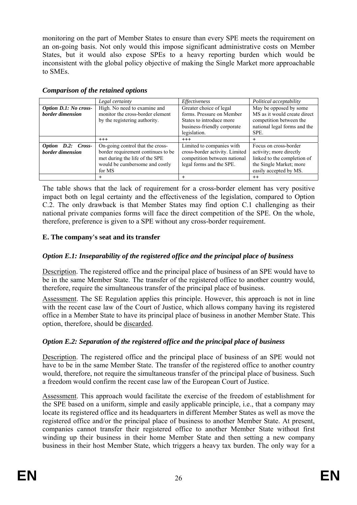monitoring on the part of Member States to ensure than every SPE meets the requirement on an on-going basis. Not only would this impose significant administrative costs on Member States, but it would also expose SPEs to a heavy reporting burden which would be inconsistent with the global policy objective of making the Single Market more approachable to SMEs.

|                                           | Legal certainty                                                                                   | Effectiveness                                                                                                                   | Political acceptability                                                                                                   |
|-------------------------------------------|---------------------------------------------------------------------------------------------------|---------------------------------------------------------------------------------------------------------------------------------|---------------------------------------------------------------------------------------------------------------------------|
| Option D.1: No cross-<br>border dimension | High. No need to examine and<br>monitor the cross-border element<br>by the registering authority. | Greater choice of legal<br>forms. Pressure on Member<br>States to introduce more<br>business-friendly corporate<br>legislation. | May be opposed by some<br>MS as it would create direct<br>competition between the<br>national legal forms and the<br>SPE. |
|                                           | $+++$                                                                                             | $+++$                                                                                                                           |                                                                                                                           |
| Option D.2: Cross-                        | On-going control that the cross-                                                                  | Limited to companies with                                                                                                       | Focus on cross-border                                                                                                     |
| border dimension                          | border requirement continues to be                                                                | cross-border activity. Limited                                                                                                  | activity; more directly                                                                                                   |
|                                           | met during the life of the SPE                                                                    | competition between national                                                                                                    | linked to the completion of                                                                                               |
|                                           | would be cumbersome and costly                                                                    | legal forms and the SPE.                                                                                                        | the Single Market; more                                                                                                   |
|                                           | for MS                                                                                            |                                                                                                                                 | easily accepted by MS.                                                                                                    |
|                                           | $\pm$                                                                                             | ┿                                                                                                                               | $^{++}$                                                                                                                   |

#### *Comparison of the retained options*

The table shows that the lack of requirement for a cross-border element has very positive impact both on legal certainty and the effectiveness of the legislation, compared to Option C.2. The only drawback is that Member States may find option C.1 challenging as their national private companies forms will face the direct competition of the SPE. On the whole, therefore, preference is given to a SPE without any cross-border requirement.

## **E. The company's seat and its transfer**

### *Option E.1: Inseparability of the registered office and the principal place of business*

Description. The registered office and the principal place of business of an SPE would have to be in the same Member State. The transfer of the registered office to another country would, therefore, require the simultaneous transfer of the principal place of business.

Assessment. The SE Regulation applies this principle. However, this approach is not in line with the recent case law of the Court of Justice, which allows company having its registered office in a Member State to have its principal place of business in another Member State. This option, therefore, should be discarded.

#### *Option E.2: Separation of the registered office and the principal place of business*

Description. The registered office and the principal place of business of an SPE would not have to be in the same Member State. The transfer of the registered office to another country would, therefore, not require the simultaneous transfer of the principal place of business. Such a freedom would confirm the recent case law of the European Court of Justice.

Assessment. This approach would facilitate the exercise of the freedom of establishment for the SPE based on a uniform, simple and easily applicable principle, i.e., that a company may locate its registered office and its headquarters in different Member States as well as move the registered office and/or the principal place of business to another Member State. At present, companies cannot transfer their registered office to another Member State without first winding up their business in their home Member State and then setting a new company business in their host Member State, which triggers a heavy tax burden. The only way for a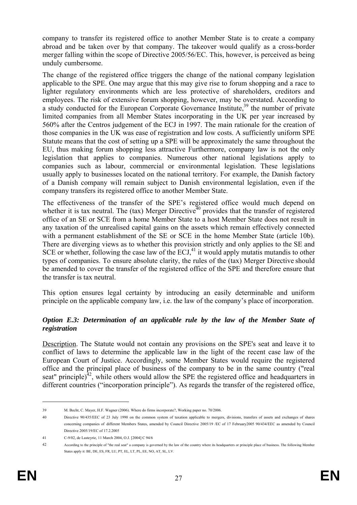company to transfer its registered office to another Member State is to create a company abroad and be taken over by that company. The takeover would qualify as a cross-border merger falling within the scope of Directive 2005/56/EC. This, however, is perceived as being unduly cumbersome.

The change of the registered office triggers the change of the national company legislation applicable to the SPE. One may argue that this may give rise to forum shopping and a race to lighter regulatory environments which are less protective of shareholders, creditors and employees. The risk of extensive forum shopping, however, may be overstated. According to a study conducted for the European Corporate Governance Institute,<sup>39</sup> the number of private limited companies from all Member States incorporating in the UK per year increased by 560% after the Centros judgement of the ECJ in 1997. The main rationale for the creation of those companies in the UK was ease of registration and low costs. A sufficiently uniform SPE Statute means that the cost of setting up a SPE will be approximately the same throughout the EU, thus making forum shopping less attractive Furthermore, company law is not the only legislation that applies to companies. Numerous other national legislations apply to companies such as labour, commercial or environmental legislation. These legislations usually apply to businesses located on the national territory. For example, the Danish factory of a Danish company will remain subject to Danish environmental legislation, even if the company transfers its registered office to another Member State.

The effectiveness of the transfer of the SPE's registered office would much depend on whether it is tax neutral. The (tax) Merger Directive<sup> $\overline{40}$ </sup> provides that the transfer of registered office of an SE or SCE from a home Member State to a host Member State does not result in any taxation of the unrealised capital gains on the assets which remain effectively connected with a permanent establishment of the SE or SCE in the home Member State (article 10b). There are diverging views as to whether this provision strictly and only applies to the SE and SCE or whether, following the case law of the  $ECJ<sub>1</sub><sup>41</sup>$  it would apply mutatis mutandis to other types of companies. To ensure absolute clarity, the rules of the (tax) Merger Directive should be amended to cover the transfer of the registered office of the SPE and therefore ensure that the transfer is tax neutral.

This option ensures legal certainty by introducing an easily determinable and uniform principle on the applicable company law, i.e. the law of the company's place of incorporation.

## *Option E.3: Determination of an applicable rule by the law of the Member State of registration*

Description. The Statute would not contain any provisions on the SPE's seat and leave it to conflict of laws to determine the applicable law in the light of the recent case law of the European Court of Justice. Accordingly, some Member States would require the registered office and the principal place of business of the company to be in the same country ("real seat" principle)<sup>42</sup>, while others would allow the SPE the registered office and headquarters in different countries ("incorporation principle"). As regards the transfer of the registered office,

<sup>39</sup> M. Becht, C. Mayer, H.F. Wagner (2006). Where do firms incorporate?, Working paper no. 70/2006.

<sup>40</sup> Directive 90/435/EEC of 23 July 1990 on the common system of taxation applicable to mergers, divisions, transfers of assets and exchanges of shares concerning companies of different Members States, amended by Council Directive 2005/19 /EC of 17 February2005 90/434/EEC as amended by Council Directive 2005/19/EC of 17.2.2005

<sup>41</sup> C-9/02, de Lasteyrie, 11 March 2004, O.J. [2004] C 94/6

<sup>42</sup> According to the principle of "the real seat" a company is governed by the law of the country where its headquarters or principle place of business. The following Member States apply it: BE, DE, ES, FR, LU, PT, EL, LT, PL, EE, NO, AT, SL, LV.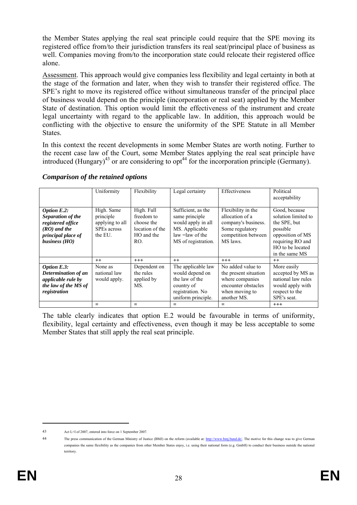the Member States applying the real seat principle could require that the SPE moving its registered office from/to their jurisdiction transfers its real seat/principal place of business as well. Companies moving from/to the incorporation state could relocate their registered office alone.

Assessment. This approach would give companies less flexibility and legal certainty in both at the stage of the formation and later, when they wish to transfer their registered office. The SPE's right to move its registered office without simultaneous transfer of the principal place of business would depend on the principle (incorporation or real seat) applied by the Member State of destination. This option would limit the effectiveness of the instrument and create legal uncertainty with regard to the applicable law. In addition, this approach would be conflicting with the objective to ensure the uniformity of the SPE Statute in all Member States.

In this context the recent developments in some Member States are worth noting. Further to the recent case law of the Court, some Member States applying the real seat principle have introduced (Hungary)<sup>43</sup> or are considering to opt<sup>44</sup> for the incorporation principle (Germany).

|                                                                                                                         | Uniformity                                                                  | Flexibility                                                                    | Legal certainty                                                                                                           | Effectiveness                                                                                                         | Political<br>acceptability                                                                                                                     |
|-------------------------------------------------------------------------------------------------------------------------|-----------------------------------------------------------------------------|--------------------------------------------------------------------------------|---------------------------------------------------------------------------------------------------------------------------|-----------------------------------------------------------------------------------------------------------------------|------------------------------------------------------------------------------------------------------------------------------------------------|
| <b>Option E.2:</b><br>Separation of the<br>registered office<br>$(RO)$ and the<br>principal place of<br>business $(HO)$ | High. Same<br>principle<br>applying to all<br><b>SPEs</b> across<br>the EU. | High. Full<br>freedom to<br>choose the<br>location of the<br>HO and the<br>RO. | Sufficient, as the<br>same principle<br>would apply in all<br>MS. Applicable<br>$law = law of the$<br>MS of registration. | Flexibility in the<br>allocation of a<br>company's business.<br>Some regulatory<br>competition between<br>MS laws.    | Good, because<br>solution limited to<br>the SPE, but<br>possible<br>opposition of MS<br>requiring RO and<br>HO to be located<br>in the same MS |
|                                                                                                                         | $^{++}$                                                                     | $+++$                                                                          | $++$                                                                                                                      | $+++$                                                                                                                 | $^{++}$                                                                                                                                        |
| <b>Option E.3:</b><br>Determination of an<br>applicable rule by<br>the law of the MS of<br>registration                 | None as<br>national law<br>would apply.                                     | Dependent on<br>the rules<br>applied by<br>MS.                                 | The applicable law<br>would depend on<br>the law of the<br>country of<br>registration. No<br>uniform principle.           | No added value to<br>the present situation<br>where companies<br>encounter obstacles<br>when moving to<br>another MS. | More easily<br>accepted by MS as<br>national law rules<br>would apply with<br>respect to the<br>SPE's seat.                                    |
|                                                                                                                         |                                                                             |                                                                                |                                                                                                                           |                                                                                                                       | $+++$                                                                                                                                          |

#### *Comparison of the retained options*

The table clearly indicates that option E.2 would be favourable in terms of uniformity, flexibility, legal certainty and effectiveness, even though it may be less acceptable to some Member States that still apply the real seat principle.

<sup>43</sup> Act L+I of 2007, entered into force on 1 September 2007.

<sup>44</sup> The press communication of the German Ministry of Justice (BMJ) on the reform (available at[: http://www.bmj.bund.de/. T](http://www.bmj.bund.de/)he motive for this change was to give German companies the same flexibility as the companies from other Member States enjoy, i.e. using their national form (e.g. GmbH) to conduct their business outside the national territory.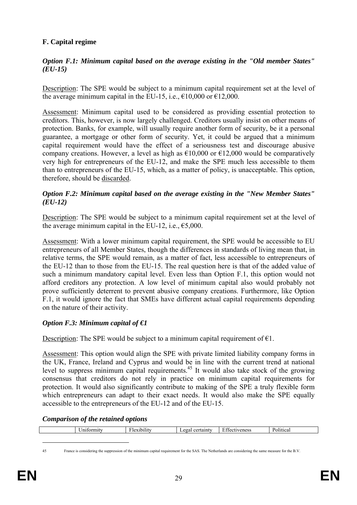# **F. Capital regime**

## *Option F.1: Minimum capital based on the average existing in the "Old member States" (EU-15)*

Description: The SPE would be subject to a minimum capital requirement set at the level of the average minimum capital in the EU-15, i.e.,  $\epsilon$ 10,000 or  $\epsilon$ 12,000.

Assessment: Minimum capital used to be considered as providing essential protection to creditors. This, however, is now largely challenged. Creditors usually insist on other means of protection. Banks, for example, will usually require another form of security, be it a personal guarantee, a mortgage or other form of security. Yet, it could be argued that a minimum capital requirement would have the effect of a seriousness test and discourage abusive company creations. However, a level as high as  $\epsilon$ 10,000 or  $\epsilon$ 12,000 would be comparatively very high for entrepreneurs of the EU-12, and make the SPE much less accessible to them than to entrepreneurs of the EU-15, which, as a matter of policy, is unacceptable. This option, therefore, should be discarded.

### *Option F.2: Minimum capital based on the average existing in the "New Member States" (EU-12)*

Description: The SPE would be subject to a minimum capital requirement set at the level of the average minimum capital in the EU-12, i.e.,  $\epsilon$ 5,000.

Assessment: With a lower minimum capital requirement, the SPE would be accessible to EU entrepreneurs of all Member States, though the differences in standards of living mean that, in relative terms, the SPE would remain, as a matter of fact, less accessible to entrepreneurs of the EU-12 than to those from the EU-15. The real question here is that of the added value of such a minimum mandatory capital level. Even less than Option F.1, this option would not afford creditors any protection. A low level of minimum capital also would probably not prove sufficiently deterrent to prevent abusive company creations. Furthermore, like Option F.1, it would ignore the fact that SMEs have different actual capital requirements depending on the nature of their activity.

## *Option F.3: Minimum capital of €1*

Description: The SPE would be subject to a minimum capital requirement of  $\epsilon$ 1.

Assessment: This option would align the SPE with private limited liability company forms in the UK, France, Ireland and Cyprus and would be in line with the current trend at national level to suppress minimum capital requirements.45 It would also take stock of the growing consensus that creditors do not rely in practice on minimum capital requirements for protection. It would also significantly contribute to making of the SPE a truly flexible form which entrepreneurs can adapt to their exact needs. It would also make the SPE equally accessible to the entrepreneurs of the EU-12 and of the EU-15.

## *Comparison of the retained options*

| - 27<br>-----<br>$\cdot$<br>nr<br>IX. | $\sim$ $\sim$ $\sim$<br>T <sub>1</sub><br>.<br>$\cdot$ . $\mapsto$ | $A^{\alpha}$<br>$\alpha$ art<br>. . | $F^{\alpha}$<br>eness | $\mathbf{r}$<br>$\mathbf{v}$<br>utica |
|---------------------------------------|--------------------------------------------------------------------|-------------------------------------|-----------------------|---------------------------------------|
|                                       |                                                                    |                                     |                       |                                       |

45 France is considering the suppression of the minimum capital requirement for the SAS. The Netherlands are considering the same measure for the B.V.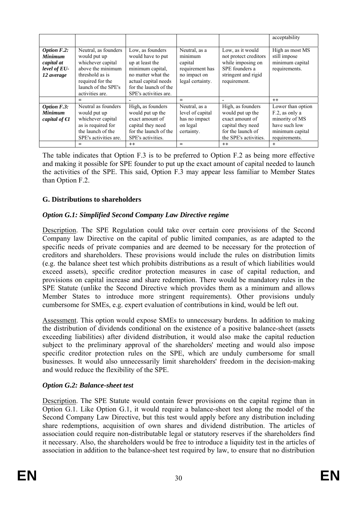| <b>Option F.2:</b><br><b>Minimum</b><br>capital at<br>level of EU-<br>12 average | Neutral, as founders<br>would put up<br>whichever capital<br>above the minimum<br>threshold as is<br>required for the<br>launch of the SPE's<br>activities are. | Low, as founders<br>would have to put<br>up at least the<br>minimum capital,<br>no matter what the<br>actual capital needs<br>for the launch of the<br>SPE's activities are. | Neutral, as a<br>minimum<br>capital<br>requirement has<br>no impact on<br>legal certainty. | Low, as it would<br>not protect creditors<br>while imposing on<br>SPE founders a<br>stringent and rigid<br>requirement.     | acceptability<br>High as most MS<br>still impose<br>minimum capital<br>requirements.                       |
|----------------------------------------------------------------------------------|-----------------------------------------------------------------------------------------------------------------------------------------------------------------|------------------------------------------------------------------------------------------------------------------------------------------------------------------------------|--------------------------------------------------------------------------------------------|-----------------------------------------------------------------------------------------------------------------------------|------------------------------------------------------------------------------------------------------------|
|                                                                                  |                                                                                                                                                                 |                                                                                                                                                                              | $=$                                                                                        |                                                                                                                             | $^{++}$                                                                                                    |
| <b>Option F.3:</b><br><b>Minimum</b><br>capital of $\in I$                       | Neutral as founders<br>would put up<br>whichever capital<br>as is required for<br>the launch of the<br>SPE's activities are.                                    | High, as founders<br>would put up the<br>exact amount of<br>capital they need<br>for the launch of the<br>SPE's activities.                                                  | Neutral, as a<br>level of capital<br>has no impact<br>on legal<br>certainty.               | High, as founders<br>would put up the<br>exact amount of<br>capital they need<br>for the launch of<br>the SPE's activities. | Lower than option<br>F.2, as only a<br>minority of MS<br>have such low<br>minimum capital<br>requirements. |
|                                                                                  |                                                                                                                                                                 | $^{++}$                                                                                                                                                                      |                                                                                            | $^{++}$                                                                                                                     | $^{+}$                                                                                                     |

The table indicates that Option F.3 is to be preferred to Option F.2 as being more effective and making it possible for SPE founder to put up the exact amount of capital needed to launch the activities of the SPE. This said, Option F.3 may appear less familiar to Member States than Option F.2.

## **G. Distributions to shareholders**

#### *Option G.1: Simplified Second Company Law Directive regime*

Description. The SPE Regulation could take over certain core provisions of the Second Company law Directive on the capital of public limited companies, as are adapted to the specific needs of private companies and are deemed to be necessary for the protection of creditors and shareholders. These provisions would include the rules on distribution limits (e.g. the balance sheet test which prohibits distributions as a result of which liabilities would exceed assets), specific creditor protection measures in case of capital reduction, and provisions on capital increase and share redemption. There would be mandatory rules in the SPE Statute (unlike the Second Directive which provides them as a minimum and allows Member States to introduce more stringent requirements). Other provisions unduly cumbersome for SMEs, e.g. expert evaluation of contributions in kind, would be left out.

Assessment. This option would expose SMEs to unnecessary burdens. In addition to making the distribution of dividends conditional on the existence of a positive balance-sheet (assets exceeding liabilities) after dividend distribution, it would also make the capital reduction subject to the preliminary approval of the shareholders' meeting and would also impose specific creditor protection rules on the SPE, which are unduly cumbersome for small businesses. It would also unnecessarily limit shareholders' freedom in the decision-making and would reduce the flexibility of the SPE.

#### *Option G.2: Balance-sheet test*

Description. The SPE Statute would contain fewer provisions on the capital regime than in Option G.1. Like Option G.1, it would require a balance-sheet test along the model of the Second Company Law Directive, but this test would apply before any distribution including share redemptions, acquisition of own shares and dividend distribution. The articles of association could require non-distributable legal or statutory reserves if the shareholders find it necessary. Also, the shareholders would be free to introduce a liquidity test in the articles of association in addition to the balance-sheet test required by law, to ensure that no distribution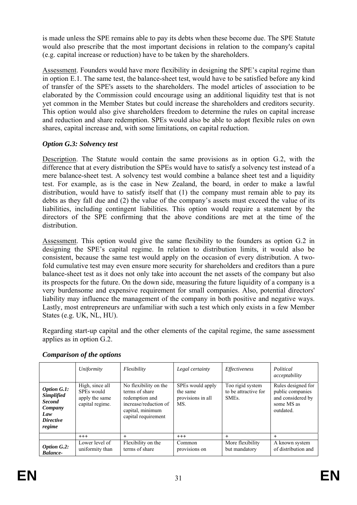is made unless the SPE remains able to pay its debts when these become due. The SPE Statute would also prescribe that the most important decisions in relation to the company's capital (e.g. capital increase or reduction) have to be taken by the shareholders.

Assessment. Founders would have more flexibility in designing the SPE's capital regime than in option E.1. The same test, the balance-sheet test, would have to be satisfied before any kind of transfer of the SPE's assets to the shareholders. The model articles of association to be elaborated by the Commission could encourage using an additional liquidity test that is not yet common in the Member States but could increase the shareholders and creditors security. This option would also give shareholders freedom to determine the rules on capital increase and reduction and share redemption. SPEs would also be able to adopt flexible rules on own shares, capital increase and, with some limitations, on capital reduction.

## *Option G.3: Solvency test*

Description. The Statute would contain the same provisions as in option G.2, with the difference that at every distribution the SPEs would have to satisfy a solvency test instead of a mere balance-sheet test. A solvency test would combine a balance sheet test and a liquidity test. For example, as is the case in New Zealand, the board, in order to make a lawful distribution, would have to satisfy itself that (1) the company must remain able to pay its debts as they fall due and (2) the value of the company's assets must exceed the value of its liabilities, including contingent liabilities. This option would require a statement by the directors of the SPE confirming that the above conditions are met at the time of the distribution.

Assessment. This option would give the same flexibility to the founders as option G.2 in designing the SPE's capital regime. In relation to distribution limits, it would also be consistent, because the same test would apply on the occasion of every distribution. A twofold cumulative test may even ensure more security for shareholders and creditors than a pure balance-sheet test as it does not only take into account the net assets of the company but also its prospects for the future. On the down side, measuring the future liquidity of a company is a very burdensome and expensive requirement for small companies. Also, potential directors' liability may influence the management of the company in both positive and negative ways. Lastly, most entrepreneurs are unfamiliar with such a test which only exists in a few Member States (e.g. UK, NL, HU).

Regarding start-up capital and the other elements of the capital regime, the same assessment applies as in option G.2.

|                                                                                                          | Uniformity                                                         | Flexibility                                                                                                                   | Legal certainty                                          | <i>Effectiveness</i>                                         | Political<br>acceptability                                                             |
|----------------------------------------------------------------------------------------------------------|--------------------------------------------------------------------|-------------------------------------------------------------------------------------------------------------------------------|----------------------------------------------------------|--------------------------------------------------------------|----------------------------------------------------------------------------------------|
| <b>Option G.1:</b><br><b>Simplified</b><br><b>Second</b><br>Company<br>Law<br><b>Directive</b><br>regime | High, since all<br>SPEs would<br>apply the same<br>capital regime. | No flexibility on the<br>terms of share<br>redemption and<br>increase/reduction of<br>capital, minimum<br>capital requirement | SPEs would apply<br>the same<br>provisions in all<br>MS. | Too rigid system<br>to be attractive for<br>SME <sub>s</sub> | Rules designed for<br>public companies<br>and considered by<br>some MS as<br>outdated. |
|                                                                                                          | $+++$                                                              | $^{+}$                                                                                                                        | $^{+++}$                                                 | $\pm$                                                        |                                                                                        |
| <b>Option G.2:</b><br><b>Balance-</b>                                                                    | Lower level of<br>uniformity than                                  | Flexibility on the<br>terms of share                                                                                          | Common<br>provisions on                                  | More flexibility<br>but mandatory                            | A known system<br>of distribution and                                                  |

## *Comparison of the options*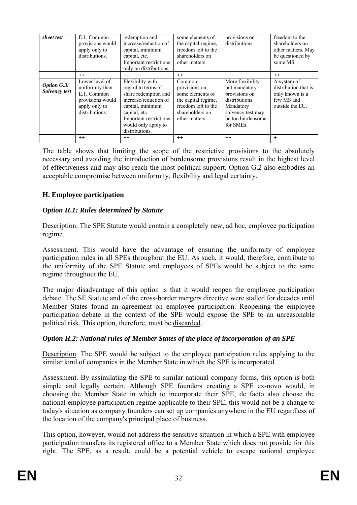| sheet test                          | E.1. Common<br>provisions would<br>apply only to<br>distributions.                                              | redemption and<br>increase/reduction of<br>capital, minimum<br>capital, etc.<br>Important restrictions<br>only on distributions.                                                                           | some elements of<br>the capital regime,<br>freedom left to the<br>shareholders on<br>other matters.                                       | provisions on<br>distributions.                                                                                                                                | freedom to the<br>shareholders on<br>other matters. May<br>be questioned by<br>some MS.            |
|-------------------------------------|-----------------------------------------------------------------------------------------------------------------|------------------------------------------------------------------------------------------------------------------------------------------------------------------------------------------------------------|-------------------------------------------------------------------------------------------------------------------------------------------|----------------------------------------------------------------------------------------------------------------------------------------------------------------|----------------------------------------------------------------------------------------------------|
| <b>Option G.3:</b><br>Solvency test | $++$<br>Lower level of<br>uniformity than<br>E.1. Common<br>provisions would<br>apply only to<br>distributions. | $^{++}$<br>Flexibility with<br>regard to terms of<br>share redemption and<br>increase/reduction of<br>capital, minimum<br>capital, etc.<br>Important restrictions<br>would only apply to<br>distributions. | $^{++}$<br>Common<br>provisions on<br>some elements of<br>the capital regime,<br>freedom left to the<br>shareholders on<br>other matters. | $+++$<br>More flexibility<br>but mandatory<br>provisions on<br>distributions.<br>Mandatory<br>solvency test may<br>be too burdensome<br>for SME <sub>s</sub> . | $^{++}$<br>A system of<br>distribution that is<br>only known is a<br>few MS and<br>outside the EU. |
|                                     | $++$                                                                                                            | $^{++}$                                                                                                                                                                                                    | $++$                                                                                                                                      | $++$                                                                                                                                                           | $\ddot{}$                                                                                          |

The table shows that limiting the scope of the restrictive provisions to the absolutely necessary and avoiding the introduction of burdensome provisions result in the highest level of effectiveness and may also reach the most political support. Option G.2 also embodies an acceptable compromise between uniformity, flexibility and legal certainty.

### **H. Employee participation**

#### *Option H.1: Rules determined by Statute*

Description. The SPE Statute would contain a completely new, ad hoc, employee participation regime.

Assessment. This would have the advantage of ensuring the uniformity of employee participation rules in all SPEs throughout the EU. As such, it would, therefore, contribute to the uniformity of the SPE Statute and employees of SPEs would be subject to the same regime throughout the EU.

The major disadvantage of this option is that it would reopen the employee participation debate. The SE Statute and of the cross-border mergers directive were stalled for decades until Member States found an agreement on employee participation. Reopening the employee participation debate in the context of the SPE would expose the SPE to an unreasonable political risk. This option, therefore, must be discarded.

#### *Option H.2: National rules of Member States of the place of incorporation of an SPE*

Description. The SPE would be subject to the employee participation rules applying to the similar kind of companies in the Member State in which the SPE is incorporated.

Assessment. By assimilating the SPE to similar national company forms, this option is both simple and legally certain. Although SPE founders creating a SPE ex-novo would, in choosing the Member State in which to incorporate their SPE, de facto also choose the national employee participation regime applicable to their SPE, this would not be a change to today's situation as company founders can set up companies anywhere in the EU regardless of the location of the company's principal place of business.

This option, however, would not address the sensitive situation in which a SPE with employee participation transfers its registered office to a Member State which does not provide for this right. The SPE, as a result, could be a potential vehicle to escape national employee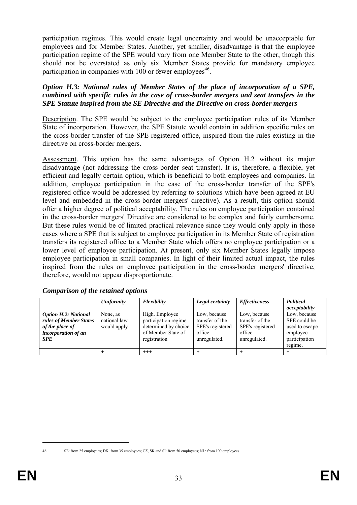participation regimes. This would create legal uncertainty and would be unacceptable for employees and for Member States. Another, yet smaller, disadvantage is that the employee participation regime of the SPE would vary from one Member State to the other, though this should not be overstated as only six Member States provide for mandatory employee participation in companies with 100 or fewer employees<sup>46</sup>.

#### *Option H.3: National rules of Member States of the place of incorporation of a SPE, combined with specific rules in the case of cross-border mergers and seat transfers in the SPE Statute inspired from the SE Directive and the Directive on cross-border mergers*

Description. The SPE would be subject to the employee participation rules of its Member State of incorporation. However, the SPE Statute would contain in addition specific rules on the cross-border transfer of the SPE registered office, inspired from the rules existing in the directive on cross-border mergers.

Assessment. This option has the same advantages of Option H.2 without its major disadvantage (not addressing the cross-border seat transfer). It is, therefore, a flexible, yet efficient and legally certain option, which is beneficial to both employees and companies. In addition, employee participation in the case of the cross-border transfer of the SPE's registered office would be addressed by referring to solutions which have been agreed at EU level and embedded in the cross-border mergers' directive). As a result, this option should offer a higher degree of political acceptability. The rules on employee participation contained in the cross-border mergers' Directive are considered to be complex and fairly cumbersome. But these rules would be of limited practical relevance since they would only apply in those cases where a SPE that is subject to employee participation in its Member State of registration transfers its registered office to a Member State which offers no employee participation or a lower level of employee participation. At present, only six Member States legally impose employee participation in small companies. In light of their limited actual impact, the rules inspired from the rules on employee participation in the cross-border mergers' directive, therefore, would not appear disproportionate.

|                                                                                                                      | <b>Uniformity</b>                       | <b>Flexibility</b>                                                                                   | Legal certainty                                                               | <b>Effectiveness</b>                                                          | <b>Political</b><br>acceptability                                                      |
|----------------------------------------------------------------------------------------------------------------------|-----------------------------------------|------------------------------------------------------------------------------------------------------|-------------------------------------------------------------------------------|-------------------------------------------------------------------------------|----------------------------------------------------------------------------------------|
| <b>Option H.2: National</b><br>rules of Member States<br>of the place of<br><i>incorporation of an</i><br><b>SPE</b> | None, as<br>national law<br>would apply | High. Employee<br>participation regime<br>determined by choice<br>of Member State of<br>registration | Low, because<br>transfer of the<br>SPE's registered<br>office<br>unregulated. | Low, because<br>transfer of the<br>SPE's registered<br>office<br>unregulated. | Low, because<br>SPE could be<br>used to escape<br>employee<br>participation<br>regime. |
|                                                                                                                      |                                         | $^{+++}$                                                                                             |                                                                               |                                                                               |                                                                                        |

*Comparison of the retained options* 

<sup>46</sup> SE: from 25 employees; DK: from 35 employees; CZ, SK and SI: from 50 employees; NL: from 100 employees.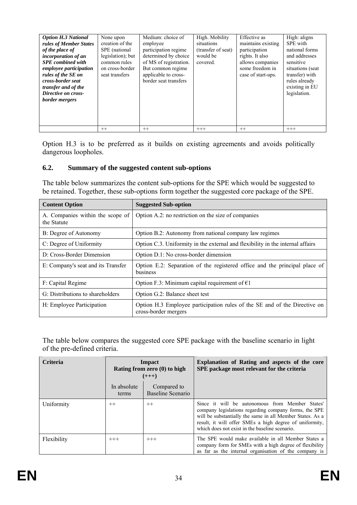| <b>Option H.3 National</b><br>rules of Member States<br>of the place of<br>incorporation of an<br><b>SPE</b> combined with<br>employee participation<br>rules of the SE on<br>cross-border seat<br>transfer and of the<br>Directive on cross-<br>border mergers | None upon<br>creation of the<br>SPE (national<br>legislation); but<br>common rules<br>on cross-border<br>seat transfers | Medium: choice of<br>employee<br>participation regime<br>determined by choice<br>of MS of registration.<br>But common regime<br>applicable to cross-<br>border seat transfers | High. Mobility<br>situations<br>(transfer of seat)<br>would be<br>covered. | Effective as<br>maintains existing<br>participation<br>rights. It also<br>allows companies<br>some freedom in<br>case of start-ups. | High: aligns<br>SPE with<br>national forms<br>and addresses<br>sensitive<br>situations (seat)<br>transfer) with<br>rules already<br>existing in EU<br>legislation. |
|-----------------------------------------------------------------------------------------------------------------------------------------------------------------------------------------------------------------------------------------------------------------|-------------------------------------------------------------------------------------------------------------------------|-------------------------------------------------------------------------------------------------------------------------------------------------------------------------------|----------------------------------------------------------------------------|-------------------------------------------------------------------------------------------------------------------------------------|--------------------------------------------------------------------------------------------------------------------------------------------------------------------|
|                                                                                                                                                                                                                                                                 | $^{++}$                                                                                                                 | $^{++}$                                                                                                                                                                       | $^{+++}$                                                                   | $^{++}$                                                                                                                             | $^{+++}$                                                                                                                                                           |

<span id="page-33-0"></span>Option H.3 is to be preferred as it builds on existing agreements and avoids politically dangerous loopholes.

#### **6.2. Summary of the suggested content sub-options**

The table below summarizes the content sub-options for the SPE which would be suggested to be retained. Together, these sub-options form together the suggested core package of the SPE.

| <b>Content Option</b>                           | <b>Suggested Sub-option</b>                                                                       |  |  |
|-------------------------------------------------|---------------------------------------------------------------------------------------------------|--|--|
| A. Companies within the scope of<br>the Statute | Option A.2: no restriction on the size of companies                                               |  |  |
| B: Degree of Autonomy                           | Option B.2: Autonomy from national company law regimes                                            |  |  |
| C: Degree of Uniformity                         | Option C.3. Uniformity in the external and flexibility in the internal affairs                    |  |  |
| D: Cross-Border Dimension                       | Option D.1: No cross-border dimension                                                             |  |  |
| E: Company's seat and its Transfer              | Option E.2: Separation of the registered office and the principal place of<br>business            |  |  |
| F: Capital Regime                               | Option F.3: Minimum capital requirement of $\epsilon$ 1                                           |  |  |
| G: Distributions to shareholders                | Option G.2: Balance sheet test                                                                    |  |  |
| H: Employee Participation                       | Option H.3 Employee participation rules of the SE and of the Directive on<br>cross-border mergers |  |  |

The table below compares the suggested core SPE package with the baseline scenario in light of the pre-defined criteria.

| <b>Criteria</b> | Impact<br>Rating from zero (0) to high<br>$(+++)$ |                                  | Explanation of Rating and aspects of the core<br>SPE package most relevant for the criteria                                                                                                                                                                                        |
|-----------------|---------------------------------------------------|----------------------------------|------------------------------------------------------------------------------------------------------------------------------------------------------------------------------------------------------------------------------------------------------------------------------------|
|                 | In absolute<br>terms                              | Compared to<br>Baseline Scenario |                                                                                                                                                                                                                                                                                    |
| Uniformity      | $^{++}$                                           | $++$                             | Since it will be autonomous from Member States'<br>company legislations regarding company forms, the SPE<br>will be substantially the same in all Member States. As a<br>result, it will offer SMEs a high degree of uniformity,<br>which does not exist in the baseline scenario. |
| Flexibility     | $^{+++}$                                          | $^{+++}$                         | The SPE would make available in all Member States a<br>company form for SMEs with a high degree of flexibility<br>as far as the internal organisation of the company is                                                                                                            |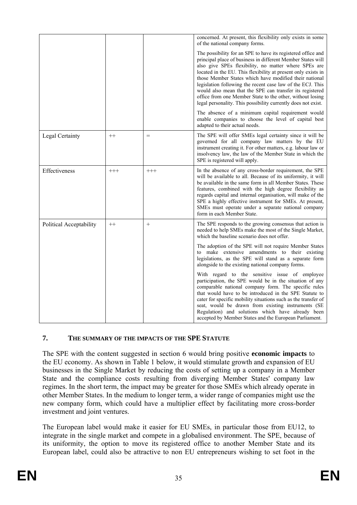|                         |         |          | concerned. At present, this flexibility only exists in some<br>of the national company forms.                                                                                                                                                                                                                                                                                                                                                                                                                                                                          |
|-------------------------|---------|----------|------------------------------------------------------------------------------------------------------------------------------------------------------------------------------------------------------------------------------------------------------------------------------------------------------------------------------------------------------------------------------------------------------------------------------------------------------------------------------------------------------------------------------------------------------------------------|
|                         |         |          | The possibility for an SPE to have its registered office and<br>principal place of business in different Member States will<br>also give SPEs flexibility, no matter where SPEs are<br>located in the EU. This flexibility at present only exists in<br>those Member States which have modified their national<br>legislation following the recent case law of the ECJ. This<br>would also mean that the SPE can transfer its registered<br>office from one Member State to the other, without losing<br>legal personality. This possibility currently does not exist. |
|                         |         |          | The absence of a minimum capital requirement would<br>enable companies to choose the level of capital best<br>adapted to their actual needs.                                                                                                                                                                                                                                                                                                                                                                                                                           |
| Legal Certainty         | $++$    | $=$      | The SPE will offer SMEs legal certainty since it will be<br>governed for all company law matters by the EU<br>instrument creating it. For other matters, e.g. labour law or<br>insolvency law, the law of the Member State in which the<br>SPE is registered will apply.                                                                                                                                                                                                                                                                                               |
| Effectiveness           | $+++$   | $^{+++}$ | In the absence of any cross-border requirement, the SPE<br>will be available to all. Because of its uniformity, it will<br>be available in the same form in all Member States. These<br>features, combined with the high degree flexibility as<br>regards capital and internal organisation, will make of the<br>SPE a highly effective instrument for SMEs. At present,<br>SMEs must operate under a separate national company<br>form in each Member State.                                                                                                          |
| Political Acceptability | $^{++}$ | $^{+}$   | The SPE responds to the growing consensus that action is<br>needed to help SMEs make the most of the Single Market,<br>which the baseline scenario does not offer.                                                                                                                                                                                                                                                                                                                                                                                                     |
|                         |         |          | The adoption of the SPE will not require Member States<br>to make extensive amendments to their existing<br>legislations, as the SPE will stand as a separate form<br>alongside to the existing national company forms.                                                                                                                                                                                                                                                                                                                                                |
|                         |         |          | With regard to the sensitive issue of employee<br>participation, the SPE would be in the situation of any<br>comparable national company form. The specific rules<br>that would have to be introduced in the SPE Statute to<br>cater for specific mobility situations such as the transfer of<br>seat, would be drawn from existing instruments (SE<br>Regulation) and solutions which have already been<br>accepted by Member States and the European Parliament.                                                                                                     |

## <span id="page-34-0"></span>**7. THE SUMMARY OF THE IMPACTS OF THE SPE STATUTE**

The SPE with the content suggested in section 6 would bring positive **economic impacts** to the EU economy. As shown in Table 1 below, it would stimulate growth and expansion of EU businesses in the Single Market by reducing the costs of setting up a company in a Member State and the compliance costs resulting from diverging Member States' company law regimes. In the short term, the impact may be greater for those SMEs which already operate in other Member States. In the medium to longer term, a wider range of companies might use the new company form, which could have a multiplier effect by facilitating more cross-border investment and joint ventures.

The European label would make it easier for EU SMEs, in particular those from EU12, to integrate in the single market and compete in a globalised environment. The SPE, because of its uniformity, the option to move its registered office to another Member State and its European label, could also be attractive to non EU entrepreneurs wishing to set foot in the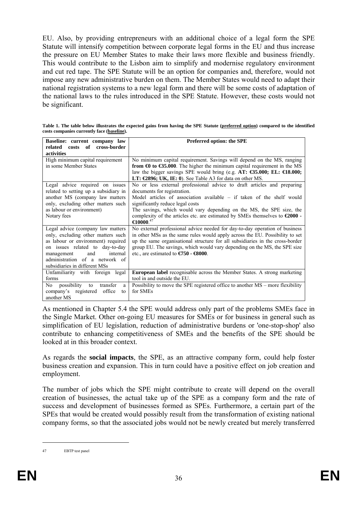EU. Also, by providing entrepreneurs with an additional choice of a legal form the SPE Statute will intensify competition between corporate legal forms in the EU and thus increase the pressure on EU Member States to make their laws more flexible and business friendly. This would contribute to the Lisbon aim to simplify and modernise regulatory environment and cut red tape. The SPE Statute will be an option for companies and, therefore, would not impose any new administrative burden on them. The Member States would need to adapt their national registration systems to a new legal form and there will be some costs of adaptation of the national laws to the rules introduced in the SPE Statute. However, these costs would not be significant.

| Table 1. The table below illustrates the expected gains from having the SPE Statute (preferred option) compared to the identified |  |
|-----------------------------------------------------------------------------------------------------------------------------------|--|
| costs companies currently face (baseline).                                                                                        |  |

| Baseline: current company law                                                                                                                                                                                                                        | Preferred option: the SPE                                                                                                                                                                                                                                                                                                                                                                                        |  |  |
|------------------------------------------------------------------------------------------------------------------------------------------------------------------------------------------------------------------------------------------------------|------------------------------------------------------------------------------------------------------------------------------------------------------------------------------------------------------------------------------------------------------------------------------------------------------------------------------------------------------------------------------------------------------------------|--|--|
| related costs of cross-border<br>activities                                                                                                                                                                                                          |                                                                                                                                                                                                                                                                                                                                                                                                                  |  |  |
| High minimum capital requirement<br>in some Member States                                                                                                                                                                                            | No minimum capital requirement. Savings will depend on the MS, ranging<br>from $\Theta$ to $\Theta$ 5.000. The higher the minimum capital requirement in the MS<br>law the bigger savings SPE would bring (e.g. AT: €35.000; EL: €18.000;<br>LT: $\in$ 2896; UK, IE: 0). See Table A3 for data on other MS.                                                                                                      |  |  |
| Legal advice required on issues<br>related to setting up a subsidiary in<br>another MS (company law matters<br>only, excluding other matters such<br>as labour or environment)<br>Notary fees                                                        | No or less external professional advice to draft articles and preparing<br>documents for registration.<br>Model articles of association available $-$ if taken of the shelf would<br>significantly reduce legal costs<br>The savings, which would vary depending on the MS, the SPE size, the<br>complexity of the articles etc. are estimated by SMEs themselves to $\epsilon$ 2000 -<br>$\epsilon 10000.^{47}$ |  |  |
| Legal advice (company law matters<br>only, excluding other matters such<br>as labour or environment) required<br>on issues related to day-to-day<br>internal<br>and<br>management<br>administration of a network of<br>subsidiaries in different MSs | No external professional advice needed for day-to-day operation of business<br>in other MSs as the same rules would apply across the EU. Possibility to set<br>up the same organisational structure for all subsidiaries in the cross-border<br>group EU. The savings, which would vary depending on the MS, the SPE size<br>etc., are estimated to $\epsilon$ 750 - $\epsilon$ 8000.                            |  |  |
| Unfamiliarity with foreign legal<br>forms                                                                                                                                                                                                            | <b>European label</b> recognisable across the Member States. A strong marketing<br>tool in and outside the EU.                                                                                                                                                                                                                                                                                                   |  |  |
| possibility to<br>No<br>transfer<br>a<br>office<br>company's registered<br>to<br>another MS                                                                                                                                                          | Possibility to move the SPE registered office to another MS – more flexibility<br>for SMEs                                                                                                                                                                                                                                                                                                                       |  |  |

As mentioned in Chapter 5.4 the SPE would address only part of the problems SMEs face in the Single Market. Other on-going EU measures for SMEs or for business in general such as simplification of EU legislation, reduction of administrative burdens or 'one-stop-shop' also contribute to enhancing competitiveness of SMEs and the benefits of the SPE should be looked at in this broader context.

As regards the **social impacts**, the SPE, as an attractive company form, could help foster business creation and expansion. This in turn could have a positive effect on job creation and employment.

The number of jobs which the SPE might contribute to create will depend on the overall creation of businesses, the actual take up of the SPE as a company form and the rate of success and development of businesses formed as SPEs. Furthermore, a certain part of the SPEs that would be created would possibly result from the transformation of existing national company forms, so that the associated jobs would not be newly created but merely transferred

<sup>47</sup> EBTP test panel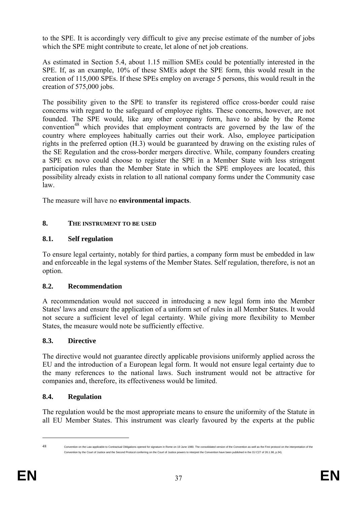to the SPE. It is accordingly very difficult to give any precise estimate of the number of jobs which the SPE might contribute to create, let alone of net job creations.

As estimated in Section 5.4, about 1.15 million SMEs could be potentially interested in the SPE. If, as an example, 10% of these SMEs adopt the SPE form, this would result in the creation of 115,000 SPEs. If these SPEs employ on average 5 persons, this would result in the creation of 575,000 jobs.

The possibility given to the SPE to transfer its registered office cross-border could raise concerns with regard to the safeguard of employee rights. These concerns, however, are not founded. The SPE would, like any other company form, have to abide by the Rome convention<sup>48</sup> which provides that employment contracts are governed by the law of the country where employees habitually carries out their work. Also, employee participation rights in the preferred option (H.3) would be guaranteed by drawing on the existing rules of the SE Regulation and the cross-border mergers directive. While, company founders creating a SPE ex novo could choose to register the SPE in a Member State with less stringent participation rules than the Member State in which the SPE employees are located, this possibility already exists in relation to all national company forms under the Community case law.

<span id="page-36-1"></span><span id="page-36-0"></span>The measure will have no **environmental impacts**.

## **8. THE INSTRUMENT TO BE USED**

## **8.1. Self regulation**

<span id="page-36-2"></span>To ensure legal certainty, notably for third parties, a company form must be embedded in law and enforceable in the legal systems of the Member States. Self regulation, therefore, is not an option.

## **8.2. Recommendation**

<span id="page-36-3"></span>A recommendation would not succeed in introducing a new legal form into the Member States' laws and ensure the application of a uniform set of rules in all Member States. It would not secure a sufficient level of legal certainty. While giving more flexibility to Member States, the measure would note be sufficiently effective.

## **8.3. Directive**

<span id="page-36-4"></span>The directive would not guarantee directly applicable provisions uniformly applied across the EU and the introduction of a European legal form. It would not ensure legal certainty due to the many references to the national laws. Such instrument would not be attractive for companies and, therefore, its effectiveness would be limited.

## **8.4. Regulation**

The regulation would be the most appropriate means to ensure the uniformity of the Statute in all EU Member States. This instrument was clearly favoured by the experts at the public

<sup>1</sup> 

<sup>48</sup> Convention on the Law applicable to Contractual Obligations opened for signature in Rome on 19 June 1980. The consolidated version of the Convention as well as the First protocol on the interpretation of the Convention by the Court of Justice and the Second Protocol conferring on the Court of Justice powers to interpret the Convention have been published in the OJ C27 of 26.1.98, p.34).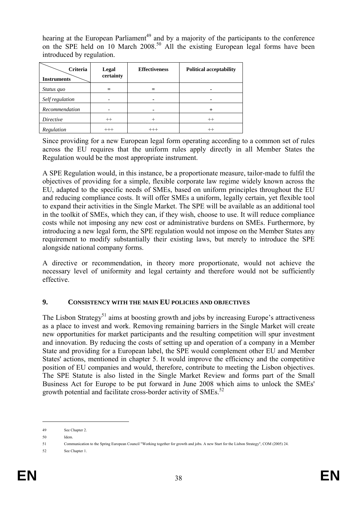hearing at the European Parliament<sup>49</sup> and by a majority of the participants to the conference on the SPE held on 10 March 2008.<sup>50</sup> All the existing European legal forms have been introduced by regulation.

| Criteria<br><b>Instruments</b> | Legal<br>certainty | <b>Effectiveness</b> | <b>Political acceptability</b> |
|--------------------------------|--------------------|----------------------|--------------------------------|
| Status quo                     |                    |                      |                                |
| Self regulation                |                    | ۰                    |                                |
| Recommendation                 |                    |                      |                                |
| <i>Directive</i>               | $^{++}$            | $^+$                 | $^{++}$                        |
| Regulation                     | $^{+++}$           | $^{+++}$             |                                |

Since providing for a new European legal form operating according to a common set of rules across the EU requires that the uniform rules apply directly in all Member States the Regulation would be the most appropriate instrument.

A SPE Regulation would, in this instance, be a proportionate measure, tailor-made to fulfil the objectives of providing for a simple, flexible corporate law regime widely known across the EU, adapted to the specific needs of SMEs, based on uniform principles throughout the EU and reducing compliance costs. It will offer SMEs a uniform, legally certain, yet flexible tool to expand their activities in the Single Market. The SPE will be available as an additional tool in the toolkit of SMEs, which they can, if they wish, choose to use. It will reduce compliance costs while not imposing any new cost or administrative burdens on SMEs. Furthermore, by introducing a new legal form, the SPE regulation would not impose on the Member States any requirement to modify substantially their existing laws, but merely to introduce the SPE alongside national company forms.

<span id="page-37-0"></span>A directive or recommendation, in theory more proportionate, would not achieve the necessary level of uniformity and legal certainty and therefore would not be sufficiently effective.

## **9. CONSISTENCY WITH THE MAIN EU POLICIES AND OBJECTIVES**

The Lisbon Strategy<sup>51</sup> aims at boosting growth and jobs by increasing Europe's attractiveness as a place to invest and work. Removing remaining barriers in the Single Market will create new opportunities for market participants and the resulting competition will spur investment and innovation. By reducing the costs of setting up and operation of a company in a Member State and providing for a European label, the SPE would complement other EU and Member States' actions, mentioned in chapter 5. It would improve the efficiency and the competitive position of EU companies and would, therefore, contribute to meeting the Lisbon objectives. The SPE Statute is also listed in the Single Market Review and forms part of the Small Business Act for Europe to be put forward in June 2008 which aims to unlock the SMEs' growth potential and facilitate cross-border activity of  $\text{SMEs}$ <sup>52</sup>

<sup>49</sup> See Chapter 2.

<sup>50</sup> Idem.

<sup>51</sup> Communication to the Spring European Council "Working together for growth and jobs. A new Start for the Lisbon Strategy", COM (2005) 24.

<sup>52</sup> See Chapter 1.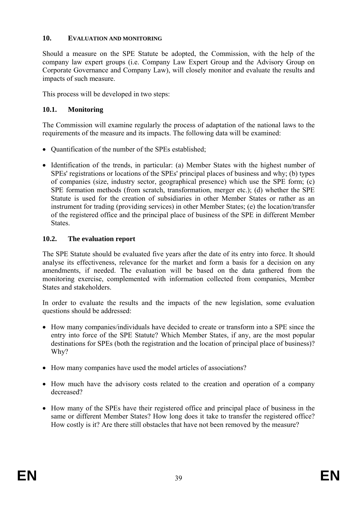## <span id="page-38-0"></span>**10. EVALUATION AND MONITORING**

<span id="page-38-1"></span>Should a measure on the SPE Statute be adopted, the Commission, with the help of the company law expert groups (i.e. Company Law Expert Group and the Advisory Group on Corporate Governance and Company Law), will closely monitor and evaluate the results and impacts of such measure.

This process will be developed in two steps:

## **10.1. Monitoring**

The Commission will examine regularly the process of adaptation of the national laws to the requirements of the measure and its impacts. The following data will be examined:

- Ouantification of the number of the SPEs established;
- <span id="page-38-2"></span>• Identification of the trends, in particular: (a) Member States with the highest number of SPEs' registrations or locations of the SPEs' principal places of business and why; (b) types of companies (size, industry sector, geographical presence) which use the SPE form; (c) SPE formation methods (from scratch, transformation, merger etc.); (d) whether the SPE Statute is used for the creation of subsidiaries in other Member States or rather as an instrument for trading (providing services) in other Member States; (e) the location/transfer of the registered office and the principal place of business of the SPE in different Member **States**.

## **10.2. The evaluation report**

The SPE Statute should be evaluated five years after the date of its entry into force. It should analyse its effectiveness, relevance for the market and form a basis for a decision on any amendments, if needed. The evaluation will be based on the data gathered from the monitoring exercise, complemented with information collected from companies, Member States and stakeholders.

In order to evaluate the results and the impacts of the new legislation, some evaluation questions should be addressed:

- How many companies/individuals have decided to create or transform into a SPE since the entry into force of the SPE Statute? Which Member States, if any, are the most popular destinations for SPEs (both the registration and the location of principal place of business)? Why?
- How many companies have used the model articles of associations?
- How much have the advisory costs related to the creation and operation of a company decreased?
- How many of the SPEs have their registered office and principal place of business in the same or different Member States? How long does it take to transfer the registered office? How costly is it? Are there still obstacles that have not been removed by the measure?